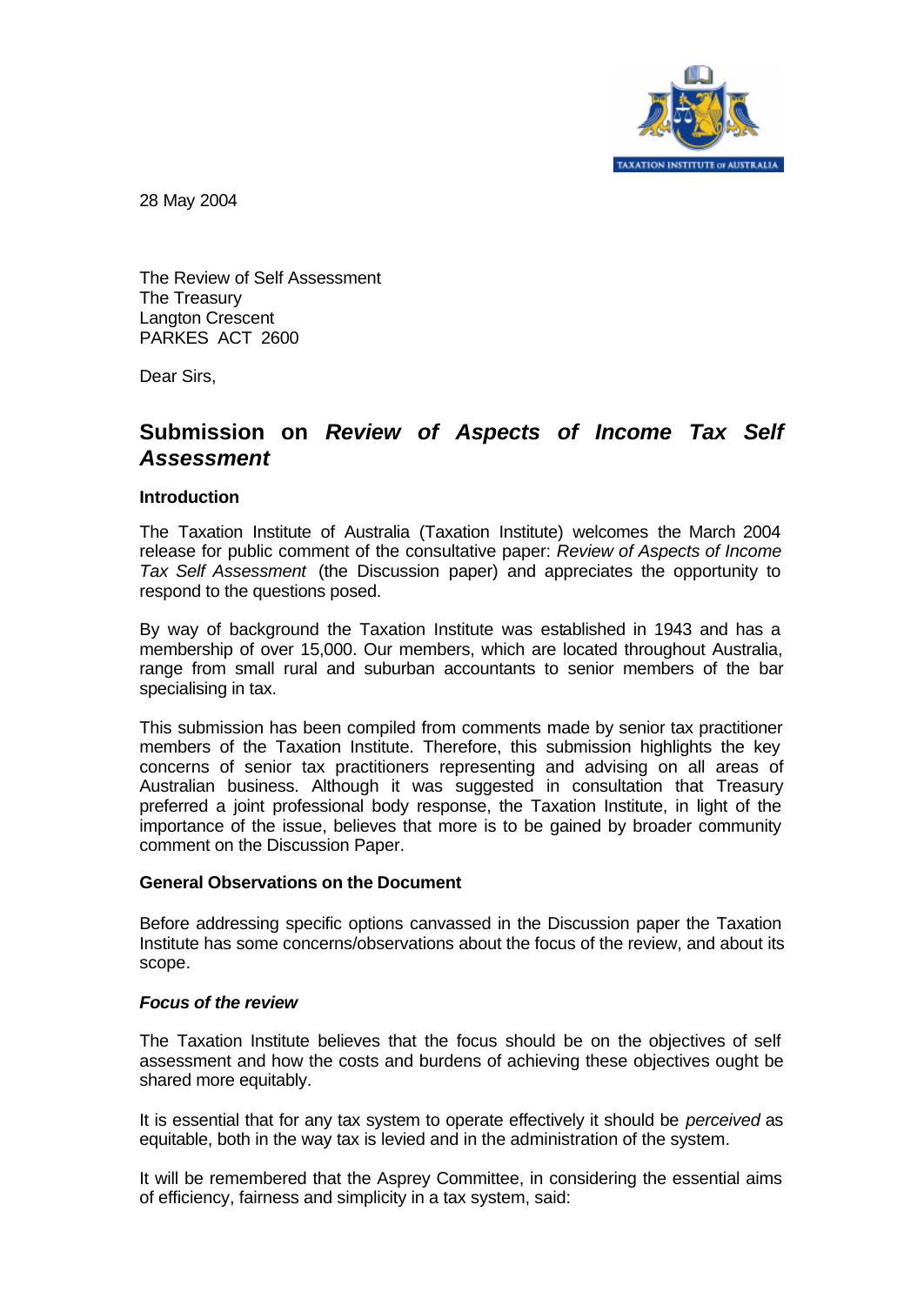

28 May 2004

The Review of Self Assessment The Treasury Langton Crescent PARKES ACT 2600

Dear Sirs,

# **Submission on** *Review of Aspects of Income Tax Self Assessment*

#### **Introduction**

The Taxation Institute of Australia (Taxation Institute) welcomes the March 2004 release for public comment of the consultative paper: *Review of Aspects of Income Tax Self Assessment* (the Discussion paper) and appreciates the opportunity to respond to the questions posed.

By way of background the Taxation Institute was established in 1943 and has a membership of over 15,000. Our members, which are located throughout Australia, range from small rural and suburban accountants to senior members of the bar specialising in tax.

This submission has been compiled from comments made by senior tax practitioner members of the Taxation Institute. Therefore, this submission highlights the key concerns of senior tax practitioners representing and advising on all areas of Australian business. Although it was suggested in consultation that Treasury preferred a joint professional body response, the Taxation Institute, in light of the importance of the issue, believes that more is to be gained by broader community comment on the Discussion Paper.

#### **General Observations on the Document**

Before addressing specific options canvassed in the Discussion paper the Taxation Institute has some concerns/observations about the focus of the review, and about its scope.

## *Focus of the review*

The Taxation Institute believes that the focus should be on the objectives of self assessment and how the costs and burdens of achieving these objectives ought be shared more equitably.

It is essential that for any tax system to operate effectively it should be *perceived* as equitable, both in the way tax is levied and in the administration of the system.

It will be remembered that the Asprey Committee, in considering the essential aims of efficiency, fairness and simplicity in a tax system, said: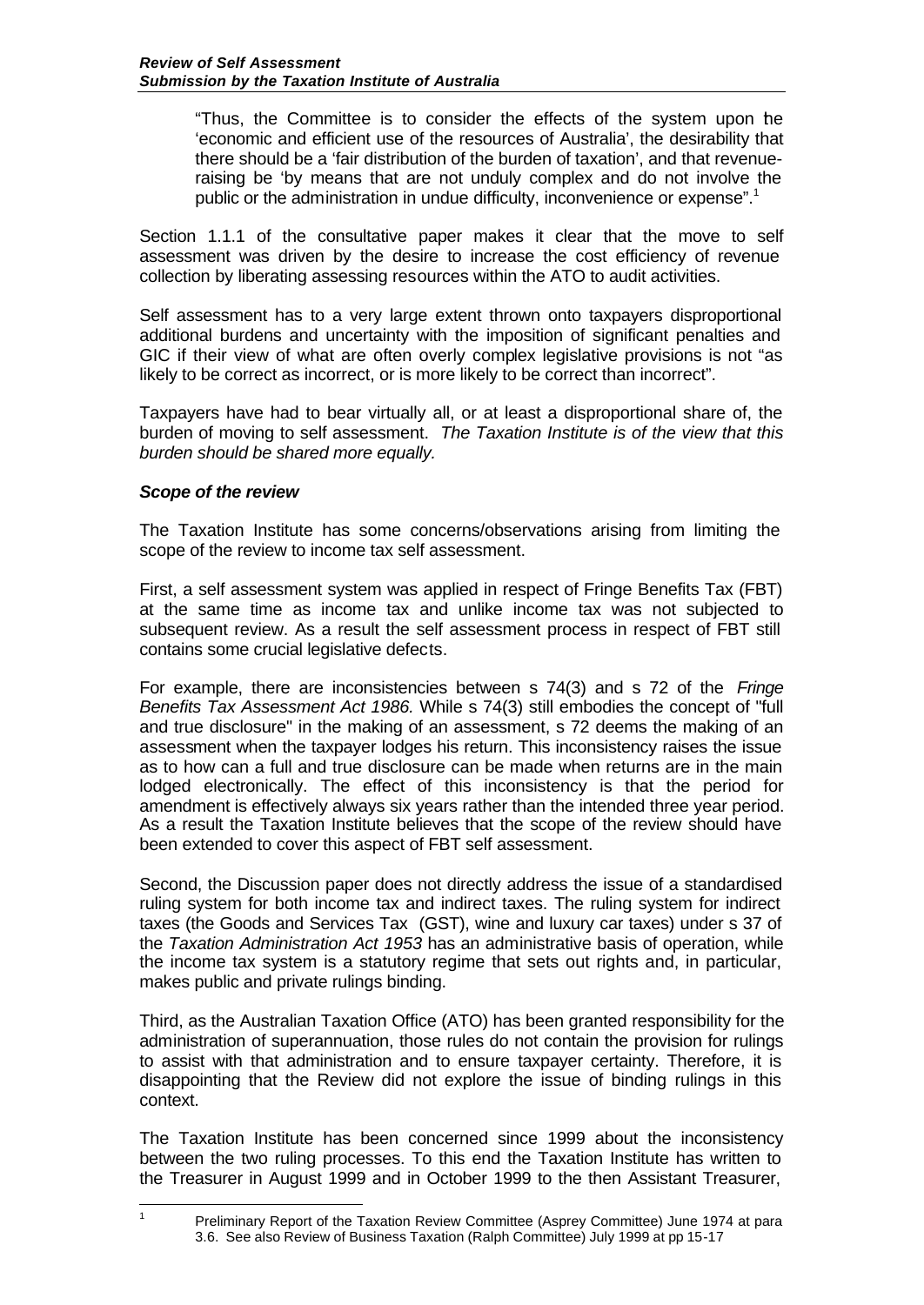"Thus, the Committee is to consider the effects of the system upon the 'economic and efficient use of the resources of Australia', the desirability that there should be a 'fair distribution of the burden of taxation', and that revenueraising be 'by means that are not unduly complex and do not involve the public or the administration in undue difficulty, inconvenience or expense".<sup>1</sup>

Section 1.1.1 of the consultative paper makes it clear that the move to self assessment was driven by the desire to increase the cost efficiency of revenue collection by liberating assessing resources within the ATO to audit activities.

Self assessment has to a very large extent thrown onto taxpayers disproportional additional burdens and uncertainty with the imposition of significant penalties and GIC if their view of what are often overly complex legislative provisions is not "as likely to be correct as incorrect, or is more likely to be correct than incorrect".

Taxpayers have had to bear virtually all, or at least a disproportional share of, the burden of moving to self assessment. *The Taxation Institute is of the view that this burden should be shared more equally.*

## *Scope of the review*

The Taxation Institute has some concerns/observations arising from limiting the scope of the review to income tax self assessment.

First, a self assessment system was applied in respect of Fringe Benefits Tax (FBT) at the same time as income tax and unlike income tax was not subjected to subsequent review. As a result the self assessment process in respect of FBT still contains some crucial legislative defects.

For example, there are inconsistencies between s 74(3) and s 72 of the *Fringe Benefits Tax Assessment Act 1986.* While s 74(3) still embodies the concept of "full and true disclosure" in the making of an assessment, s 72 deems the making of an assessment when the taxpayer lodges his return. This inconsistency raises the issue as to how can a full and true disclosure can be made when returns are in the main lodged electronically. The effect of this inconsistency is that the period for amendment is effectively always six years rather than the intended three year period. As a result the Taxation Institute believes that the scope of the review should have been extended to cover this aspect of FBT self assessment.

Second, the Discussion paper does not directly address the issue of a standardised ruling system for both income tax and indirect taxes. The ruling system for indirect taxes (the Goods and Services Tax (GST), wine and luxury car taxes) under s 37 of the *Taxation Administration Act 1953* has an administrative basis of operation, while the income tax system is a statutory regime that sets out rights and, in particular, makes public and private rulings binding.

Third, as the Australian Taxation Office (ATO) has been granted responsibility for the administration of superannuation, those rules do not contain the provision for rulings to assist with that administration and to ensure taxpayer certainty. Therefore, it is disappointing that the Review did not explore the issue of binding rulings in this context.

The Taxation Institute has been concerned since 1999 about the inconsistency between the two ruling processes. To this end the Taxation Institute has written to the Treasurer in August 1999 and in October 1999 to the then Assistant Treasurer,

 $\overline{1}$ 

<sup>1</sup> Preliminary Report of the Taxation Review Committee (Asprey Committee) June 1974 at para 3.6. See also Review of Business Taxation (Ralph Committee) July 1999 at pp 15-17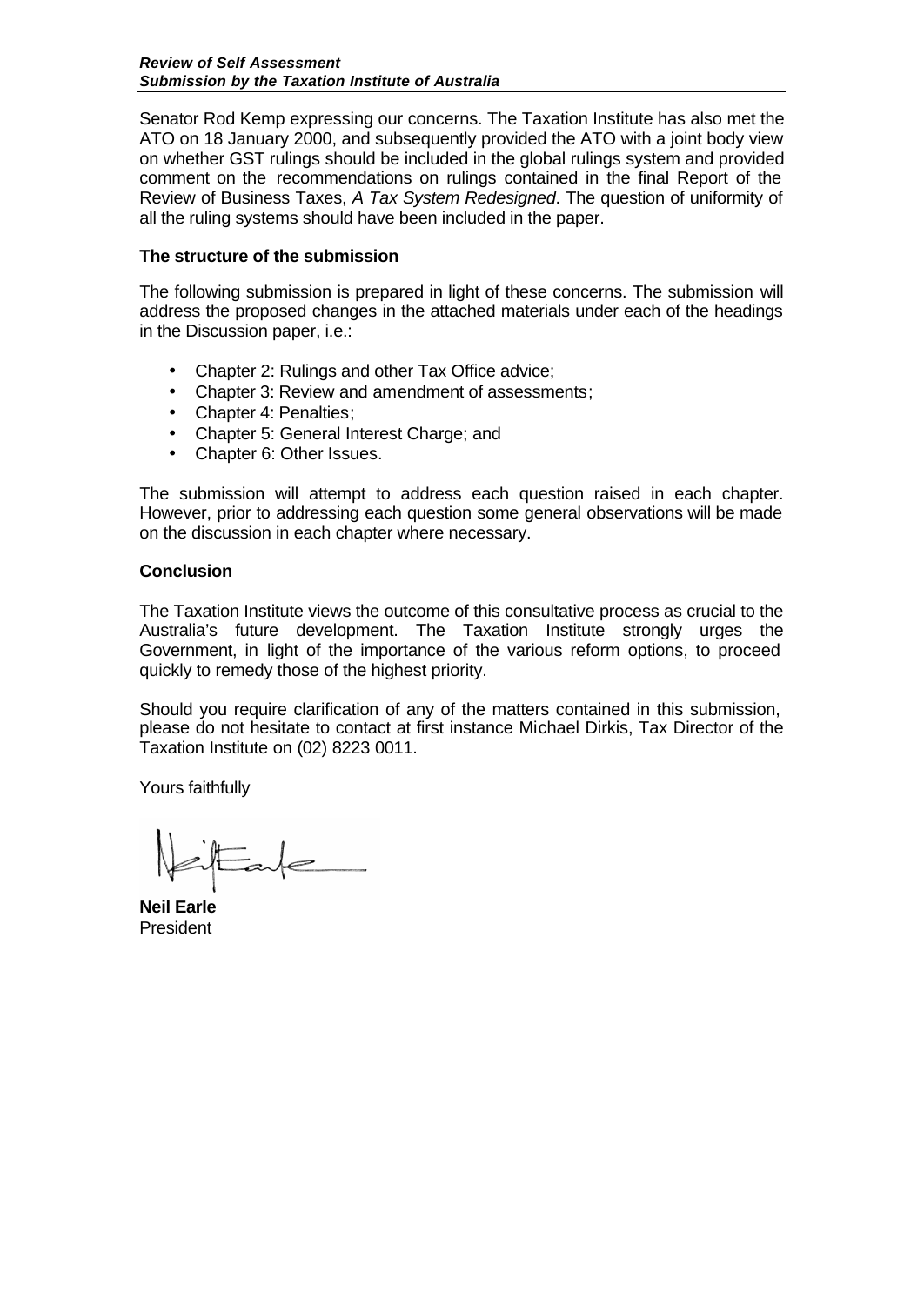Senator Rod Kemp expressing our concerns. The Taxation Institute has also met the ATO on 18 January 2000, and subsequently provided the ATO with a joint body view on whether GST rulings should be included in the global rulings system and provided comment on the recommendations on rulings contained in the final Report of the Review of Business Taxes, *A Tax System Redesigned*. The question of uniformity of all the ruling systems should have been included in the paper.

## **The structure of the submission**

The following submission is prepared in light of these concerns. The submission will address the proposed changes in the attached materials under each of the headings in the Discussion paper, i.e.:

- Chapter 2: Rulings and other Tax Office advice;
- Chapter 3: Review and amendment of assessments;
- Chapter 4: Penalties:
- Chapter 5: General Interest Charge: and
- Chapter 6: Other Issues.

The submission will attempt to address each question raised in each chapter. However, prior to addressing each question some general observations will be made on the discussion in each chapter where necessary.

#### **Conclusion**

The Taxation Institute views the outcome of this consultative process as crucial to the Australia's future development. The Taxation Institute strongly urges the Government, in light of the importance of the various reform options, to proceed quickly to remedy those of the highest priority.

Should you require clarification of any of the matters contained in this submission, please do not hesitate to contact at first instance Michael Dirkis, Tax Director of the Taxation Institute on (02) 8223 0011.

Yours faithfully

 $E$ ale

**Neil Earle** President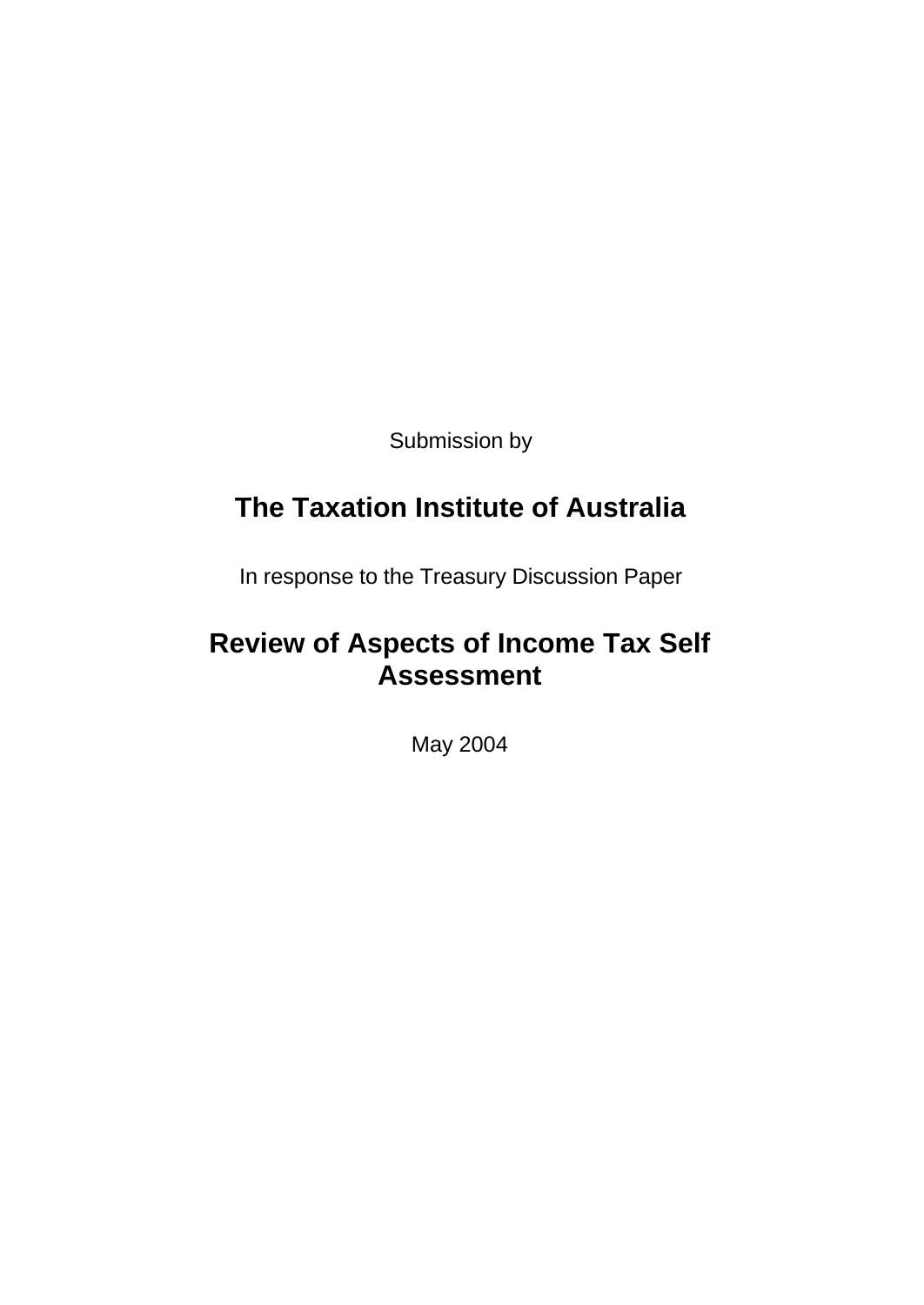Submission by

# **The Taxation Institute of Australia**

In response to the Treasury Discussion Paper

# **Review of Aspects of Income Tax Self Assessment**

May 2004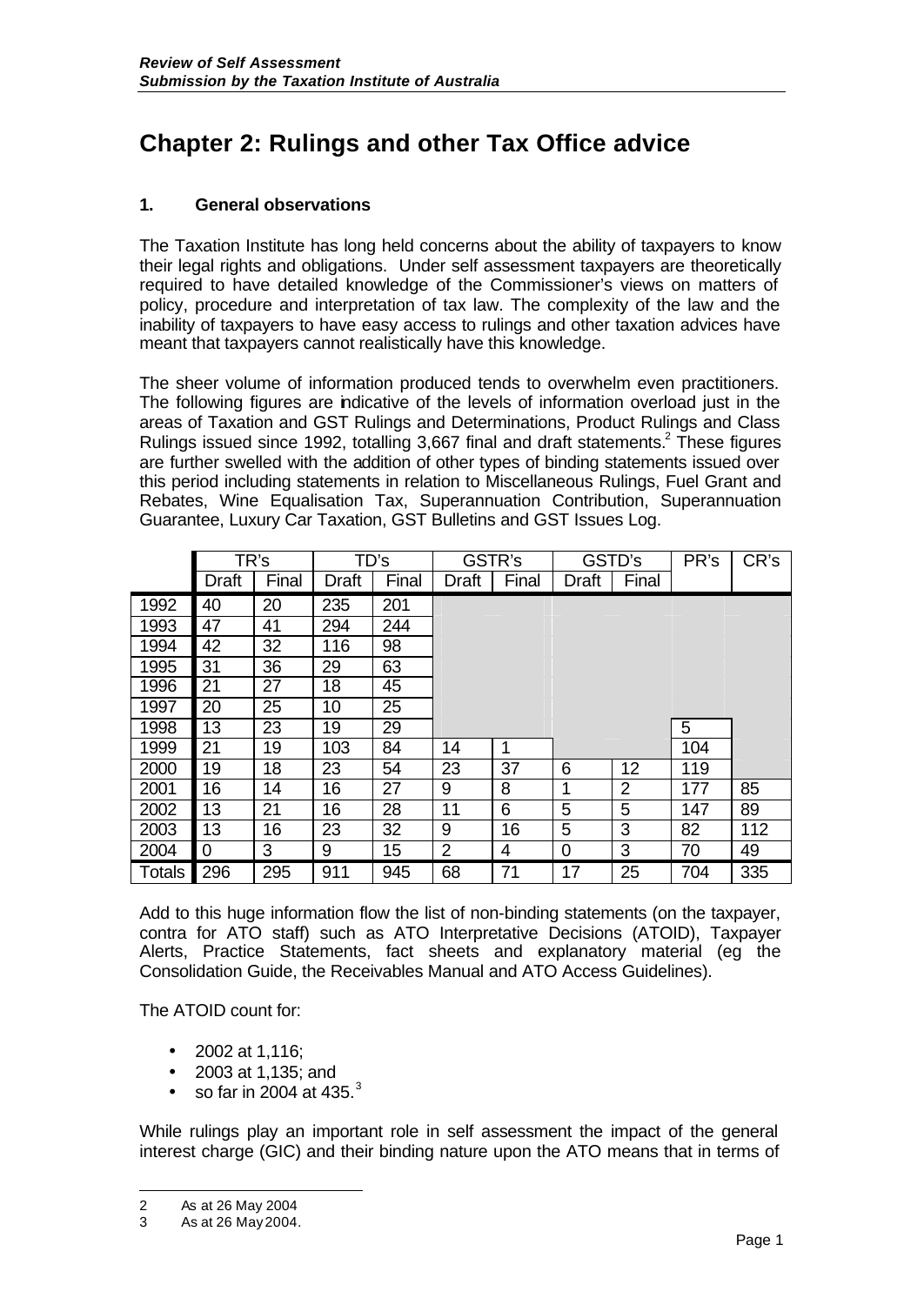# **Chapter 2: Rulings and other Tax Office advice**

# **1. General observations**

The Taxation Institute has long held concerns about the ability of taxpayers to know their legal rights and obligations. Under self assessment taxpayers are theoretically required to have detailed knowledge of the Commissioner's views on matters of policy, procedure and interpretation of tax law. The complexity of the law and the inability of taxpayers to have easy access to rulings and other taxation advices have meant that taxpayers cannot realistically have this knowledge.

The sheer volume of information produced tends to overwhelm even practitioners. The following figures are indicative of the levels of information overload just in the areas of Taxation and GST Rulings and Determinations, Product Rulings and Class Rulings issued since 1992, totalling 3,667 final and draft statements.<sup>2</sup> These figures are further swelled with the addition of other types of binding statements issued over this period including statements in relation to Miscellaneous Rulings, Fuel Grant and Rebates, Wine Equalisation Tax, Superannuation Contribution, Superannuation Guarantee, Luxury Car Taxation, GST Bulletins and GST Issues Log.

|               | TR's             |       | TD's         |       | GSTR's         |       | GSTD's       |                | PR's | CR's |
|---------------|------------------|-------|--------------|-------|----------------|-------|--------------|----------------|------|------|
|               | <b>Draft</b>     | Final | <b>Draft</b> | Final | Draft          | Final | <b>Draft</b> | Final          |      |      |
| 1992          | 40               | 20    | 235          | 201   |                |       |              |                |      |      |
| 1993          | 47               | 41    | 294          | 244   |                |       |              |                |      |      |
| 1994          | 42               | 32    | 116          | 98    |                |       |              |                |      |      |
| 1995          | 31               | 36    | 29           | 63    |                |       |              |                |      |      |
| 1996          | 21               | 27    | 18           | 45    |                |       |              |                |      |      |
| 1997          | 20               | 25    | 10           | 25    |                |       |              |                |      |      |
| 1998          | 13               | 23    | 19           | 29    |                |       |              |                | 5    |      |
| 1999          | 21               | 19    | 103          | 84    | 14             | 1     |              |                | 104  |      |
| 2000          | 19               | 18    | 23           | 54    | 23             | 37    | 6            | 12             | 119  |      |
| 2001          | 16               | 14    | 16           | 27    | 9              | 8     | 1            | $\overline{2}$ | 177  | 85   |
| 2002          | 13               | 21    | 16           | 28    | 11             | 6     | 5            | 5              | 147  | 89   |
| 2003          | 13               | 16    | 23           | 32    | 9              | 16    | 5            | 3              | 82   | 112  |
| 2004          | $\boldsymbol{0}$ | 3     | 9            | 15    | $\overline{2}$ | 4     | 0            | 3              | 70   | 49   |
| <b>Totals</b> | 296              | 295   | 911          | 945   | 68             | 71    | 17           | 25             | 704  | 335  |

Add to this huge information flow the list of non-binding statements (on the taxpayer, contra for ATO staff) such as ATO Interpretative Decisions (ATOID), Taxpayer Alerts, Practice Statements, fact sheets and explanatory material (eg the Consolidation Guide, the Receivables Manual and ATO Access Guidelines).

The ATOID count for:

- 2002 at 1,116;
- 2003 at 1,135; and
- so far in 2004 at 435. $^3$

While rulings play an important role in self assessment the impact of the general interest charge (GIC) and their binding nature upon the ATO means that in terms of

l

<sup>2</sup> As at 26 May 2004

<sup>3</sup> As at 26 May 2004.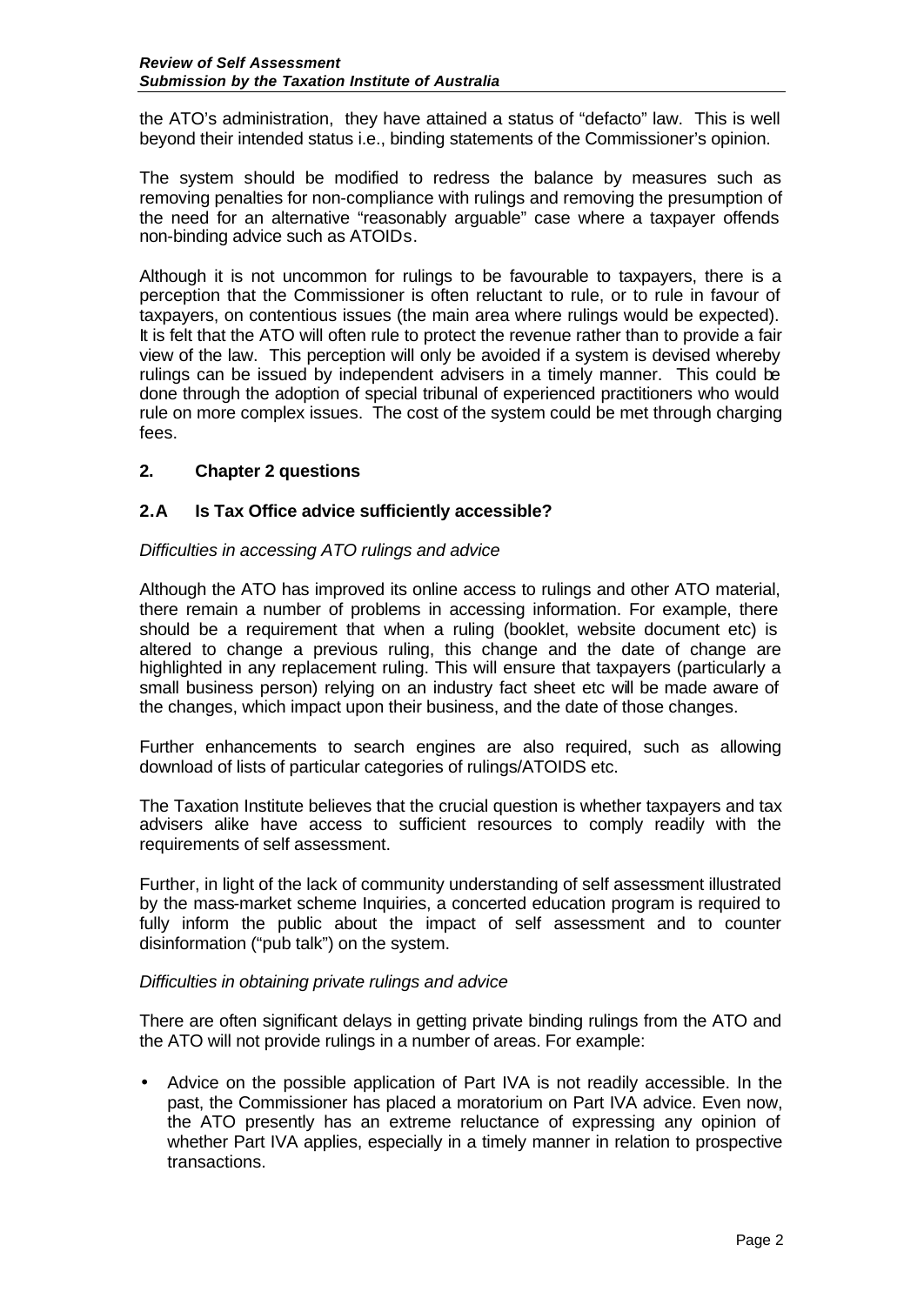the ATO's administration, they have attained a status of "defacto" law. This is well beyond their intended status i.e., binding statements of the Commissioner's opinion.

The system should be modified to redress the balance by measures such as removing penalties for non-compliance with rulings and removing the presumption of the need for an alternative "reasonably arguable" case where a taxpayer offends non-binding advice such as ATOIDs.

Although it is not uncommon for rulings to be favourable to taxpayers, there is a perception that the Commissioner is often reluctant to rule, or to rule in favour of taxpayers, on contentious issues (the main area where rulings would be expected). It is felt that the ATO will often rule to protect the revenue rather than to provide a fair view of the law. This perception will only be avoided if a system is devised whereby rulings can be issued by independent advisers in a timely manner. This could be done through the adoption of special tribunal of experienced practitioners who would rule on more complex issues. The cost of the system could be met through charging fees.

# **2. Chapter 2 questions**

## **2.A Is Tax Office advice sufficiently accessible?**

## *Difficulties in accessing ATO rulings and advice*

Although the ATO has improved its online access to rulings and other ATO material, there remain a number of problems in accessing information. For example, there should be a requirement that when a ruling (booklet, website document etc) is altered to change a previous ruling, this change and the date of change are highlighted in any replacement ruling. This will ensure that taxpayers (particularly a small business person) relying on an industry fact sheet etc will be made aware of the changes, which impact upon their business, and the date of those changes.

Further enhancements to search engines are also required, such as allowing download of lists of particular categories of rulings/ATOIDS etc.

The Taxation Institute believes that the crucial question is whether taxpayers and tax advisers alike have access to sufficient resources to comply readily with the requirements of self assessment.

Further, in light of the lack of community understanding of self assessment illustrated by the mass-market scheme Inquiries, a concerted education program is required to fully inform the public about the impact of self assessment and to counter disinformation ("pub talk") on the system.

## *Difficulties in obtaining private rulings and advice*

There are often significant delays in getting private binding rulings from the ATO and the ATO will not provide rulings in a number of areas. For example:

• Advice on the possible application of Part IVA is not readily accessible. In the past, the Commissioner has placed a moratorium on Part IVA advice. Even now, the ATO presently has an extreme reluctance of expressing any opinion of whether Part IVA applies, especially in a timely manner in relation to prospective transactions.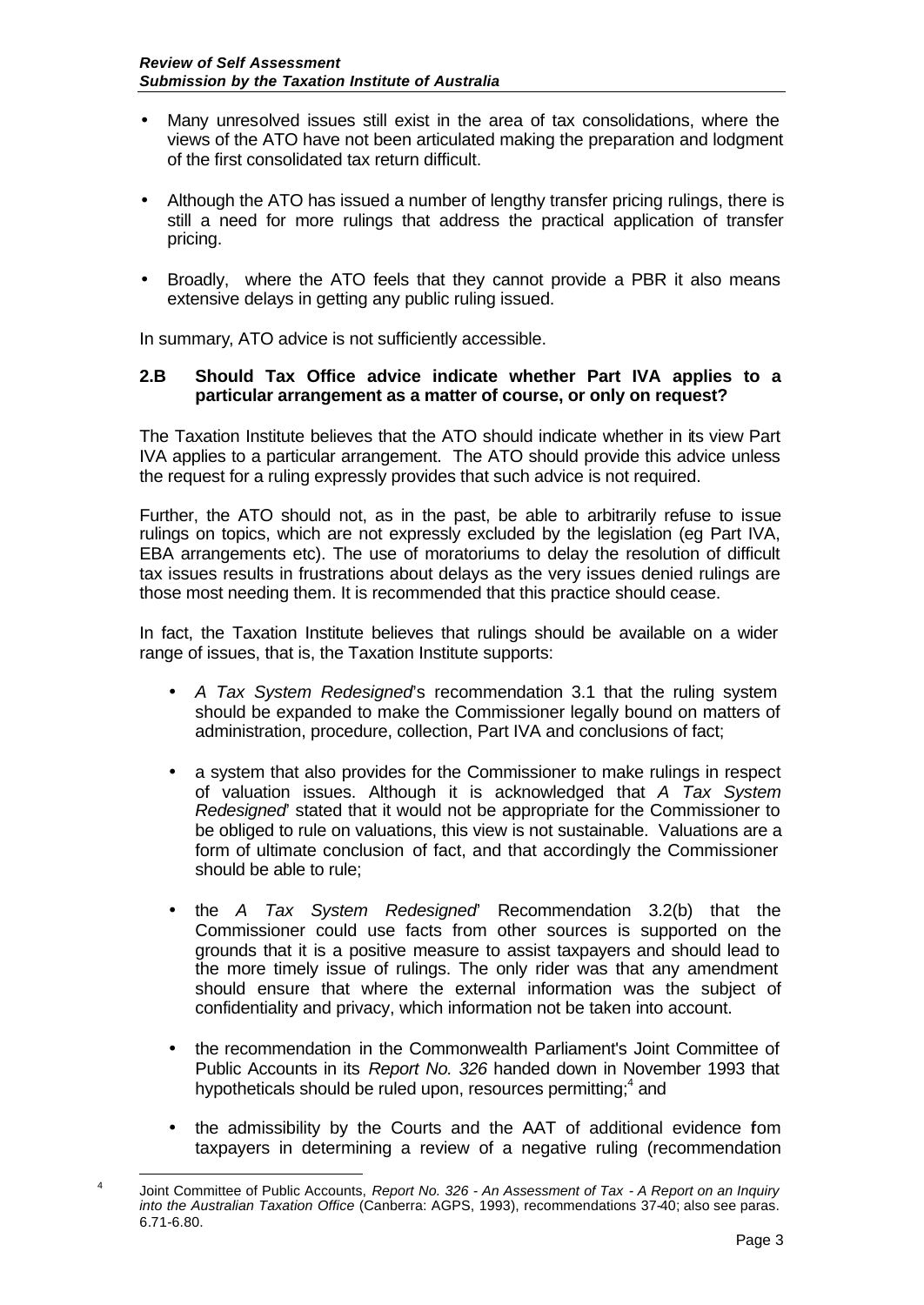- Many unresolved issues still exist in the area of tax consolidations, where the views of the ATO have not been articulated making the preparation and lodgment of the first consolidated tax return difficult.
- Although the ATO has issued a number of lengthy transfer pricing rulings, there is still a need for more rulings that address the practical application of transfer pricing.
- Broadly, where the ATO feels that they cannot provide a PBR it also means extensive delays in getting any public ruling issued.

In summary, ATO advice is not sufficiently accessible.

## **2.B Should Tax Office advice indicate whether Part IVA applies to a particular arrangement as a matter of course, or only on request?**

The Taxation Institute believes that the ATO should indicate whether in its view Part IVA applies to a particular arrangement. The ATO should provide this advice unless the request for a ruling expressly provides that such advice is not required.

Further, the ATO should not, as in the past, be able to arbitrarily refuse to issue rulings on topics, which are not expressly excluded by the legislation (eg Part IVA, EBA arrangements etc). The use of moratoriums to delay the resolution of difficult tax issues results in frustrations about delays as the very issues denied rulings are those most needing them. It is recommended that this practice should cease.

In fact, the Taxation Institute believes that rulings should be available on a wider range of issues, that is, the Taxation Institute supports:

- *A Tax System Redesigned*'s recommendation 3.1 that the ruling system should be expanded to make the Commissioner legally bound on matters of administration, procedure, collection, Part IVA and conclusions of fact;
- a system that also provides for the Commissioner to make rulings in respect of valuation issues. Although it is acknowledged that *A Tax System Redesigned*' stated that it would not be appropriate for the Commissioner to be obliged to rule on valuations, this view is not sustainable. Valuations are a form of ultimate conclusion of fact, and that accordingly the Commissioner should be able to rule;
- the *A Tax System Redesigned*' Recommendation 3.2(b) that the Commissioner could use facts from other sources is supported on the grounds that it is a positive measure to assist taxpayers and should lead to the more timely issue of rulings. The only rider was that any amendment should ensure that where the external information was the subject of confidentiality and privacy, which information not be taken into account.
- the recommendation in the Commonwealth Parliament's Joint Committee of Public Accounts in its *Report No. 326* handed down in November 1993 that hypotheticals should be ruled upon, resources permitting;<sup>4</sup> and
- the admissibility by the Courts and the AAT of additional evidence from taxpayers in determining a review of a negative ruling (recommendation

l 4 Joint Committee of Public Accounts, *Report No. 326 - An Assessment of Tax - A Report on an Inquiry into the Australian Taxation Office* (Canberra: AGPS, 1993), recommendations 37-40; also see paras. 6.71-6.80.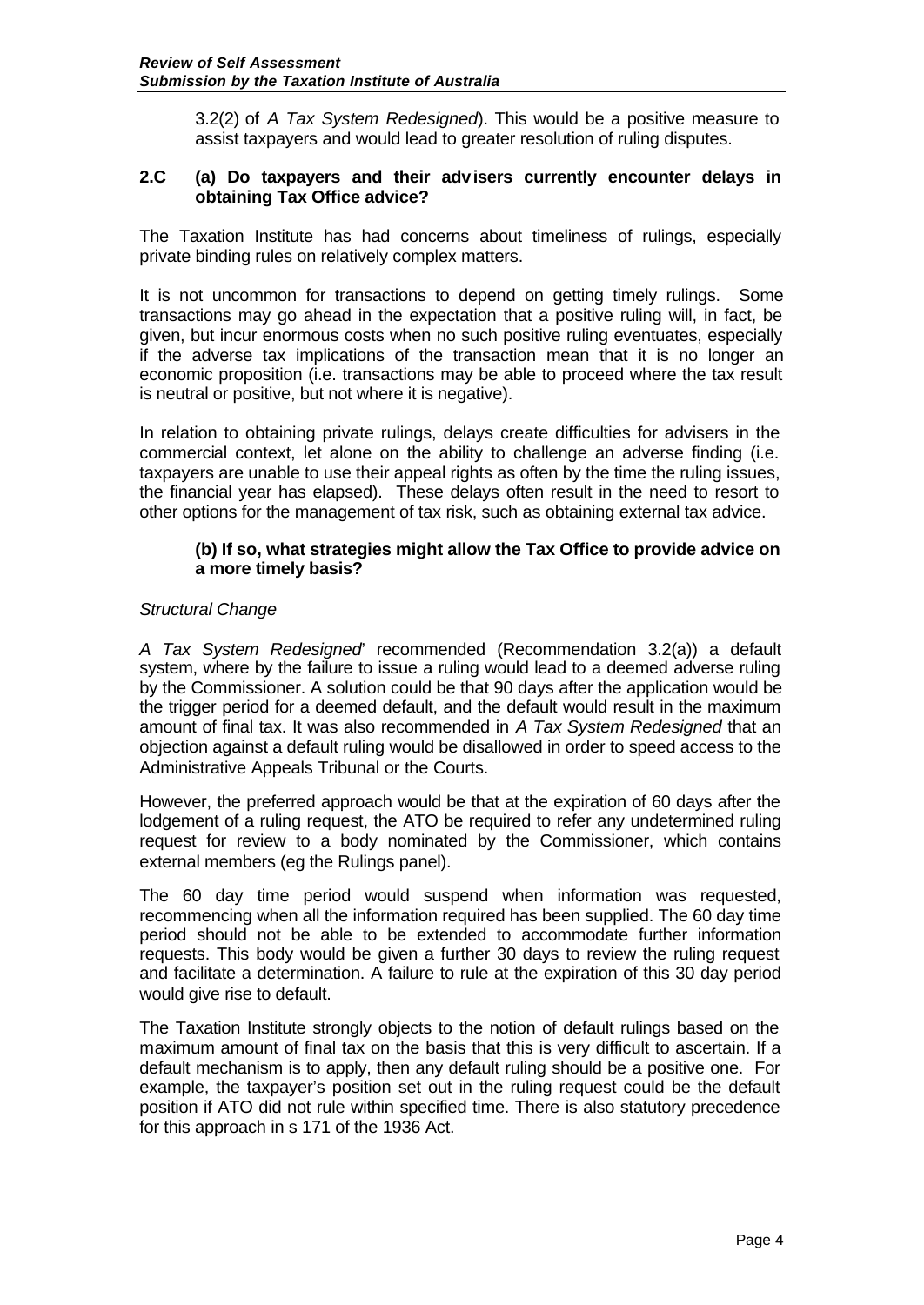3.2(2) of *A Tax System Redesigned*). This would be a positive measure to assist taxpayers and would lead to greater resolution of ruling disputes.

### **2.C (a) Do taxpayers and their advisers currently encounter delays in obtaining Tax Office advice?**

The Taxation Institute has had concerns about timeliness of rulings, especially private binding rules on relatively complex matters.

It is not uncommon for transactions to depend on getting timely rulings. Some transactions may go ahead in the expectation that a positive ruling will, in fact, be given, but incur enormous costs when no such positive ruling eventuates, especially if the adverse tax implications of the transaction mean that it is no longer an economic proposition (i.e. transactions may be able to proceed where the tax result is neutral or positive, but not where it is negative).

In relation to obtaining private rulings, delays create difficulties for advisers in the commercial context, let alone on the ability to challenge an adverse finding (i.e. taxpayers are unable to use their appeal rights as often by the time the ruling issues, the financial year has elapsed). These delays often result in the need to resort to other options for the management of tax risk, such as obtaining external tax advice.

#### **(b) If so, what strategies might allow the Tax Office to provide advice on a more timely basis?**

## *Structural Change*

*A Tax System Redesigned*' recommended (Recommendation 3.2(a)) a default system, where by the failure to issue a ruling would lead to a deemed adverse ruling by the Commissioner. A solution could be that 90 days after the application would be the trigger period for a deemed default, and the default would result in the maximum amount of final tax. It was also recommended in *A Tax System Redesigned* that an objection against a default ruling would be disallowed in order to speed access to the Administrative Appeals Tribunal or the Courts.

However, the preferred approach would be that at the expiration of 60 days after the lodgement of a ruling request, the ATO be required to refer any undetermined ruling request for review to a body nominated by the Commissioner, which contains external members (eg the Rulings panel).

The 60 day time period would suspend when information was requested, recommencing when all the information required has been supplied. The 60 day time period should not be able to be extended to accommodate further information requests. This body would be given a further 30 days to review the ruling request and facilitate a determination. A failure to rule at the expiration of this 30 day period would give rise to default.

The Taxation Institute strongly objects to the notion of default rulings based on the maximum amount of final tax on the basis that this is very difficult to ascertain. If a default mechanism is to apply, then any default ruling should be a positive one. For example, the taxpayer's position set out in the ruling request could be the default position if ATO did not rule within specified time. There is also statutory precedence for this approach in s 171 of the 1936 Act.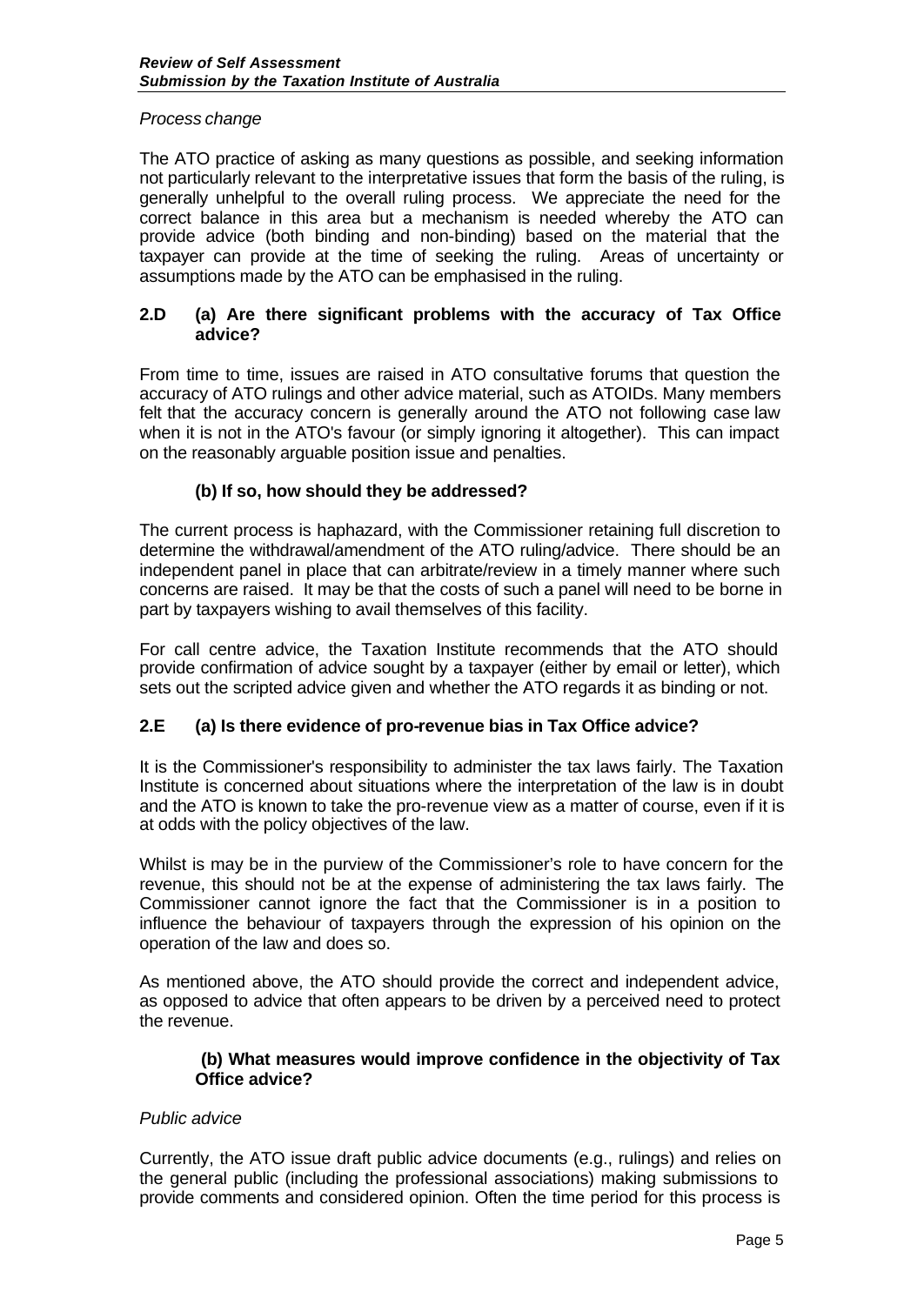## *Process change*

The ATO practice of asking as many questions as possible, and seeking information not particularly relevant to the interpretative issues that form the basis of the ruling, is generally unhelpful to the overall ruling process. We appreciate the need for the correct balance in this area but a mechanism is needed whereby the ATO can provide advice (both binding and non-binding) based on the material that the taxpayer can provide at the time of seeking the ruling. Areas of uncertainty or assumptions made by the ATO can be emphasised in the ruling.

## **2.D (a) Are there significant problems with the accuracy of Tax Office advice?**

From time to time, issues are raised in ATO consultative forums that question the accuracy of ATO rulings and other advice material, such as ATOIDs. Many members felt that the accuracy concern is generally around the ATO not following case law when it is not in the ATO's favour (or simply ignoring it altogether). This can impact on the reasonably arguable position issue and penalties.

# **(b) If so, how should they be addressed?**

The current process is haphazard, with the Commissioner retaining full discretion to determine the withdrawal/amendment of the ATO ruling/advice. There should be an independent panel in place that can arbitrate/review in a timely manner where such concerns are raised. It may be that the costs of such a panel will need to be borne in part by taxpayers wishing to avail themselves of this facility.

For call centre advice, the Taxation Institute recommends that the ATO should provide confirmation of advice sought by a taxpayer (either by email or letter), which sets out the scripted advice given and whether the ATO regards it as binding or not.

# **2.E (a) Is there evidence of pro-revenue bias in Tax Office advice?**

It is the Commissioner's responsibility to administer the tax laws fairly. The Taxation Institute is concerned about situations where the interpretation of the law is in doubt and the ATO is known to take the pro-revenue view as a matter of course, even if it is at odds with the policy objectives of the law.

Whilst is may be in the purview of the Commissioner's role to have concern for the revenue, this should not be at the expense of administering the tax laws fairly. The Commissioner cannot ignore the fact that the Commissioner is in a position to influence the behaviour of taxpayers through the expression of his opinion on the operation of the law and does so.

As mentioned above, the ATO should provide the correct and independent advice, as opposed to advice that often appears to be driven by a perceived need to protect the revenue.

#### **(b) What measures would improve confidence in the objectivity of Tax Office advice?**

## *Public advice*

Currently, the ATO issue draft public advice documents (e.g., rulings) and relies on the general public (including the professional associations) making submissions to provide comments and considered opinion. Often the time period for this process is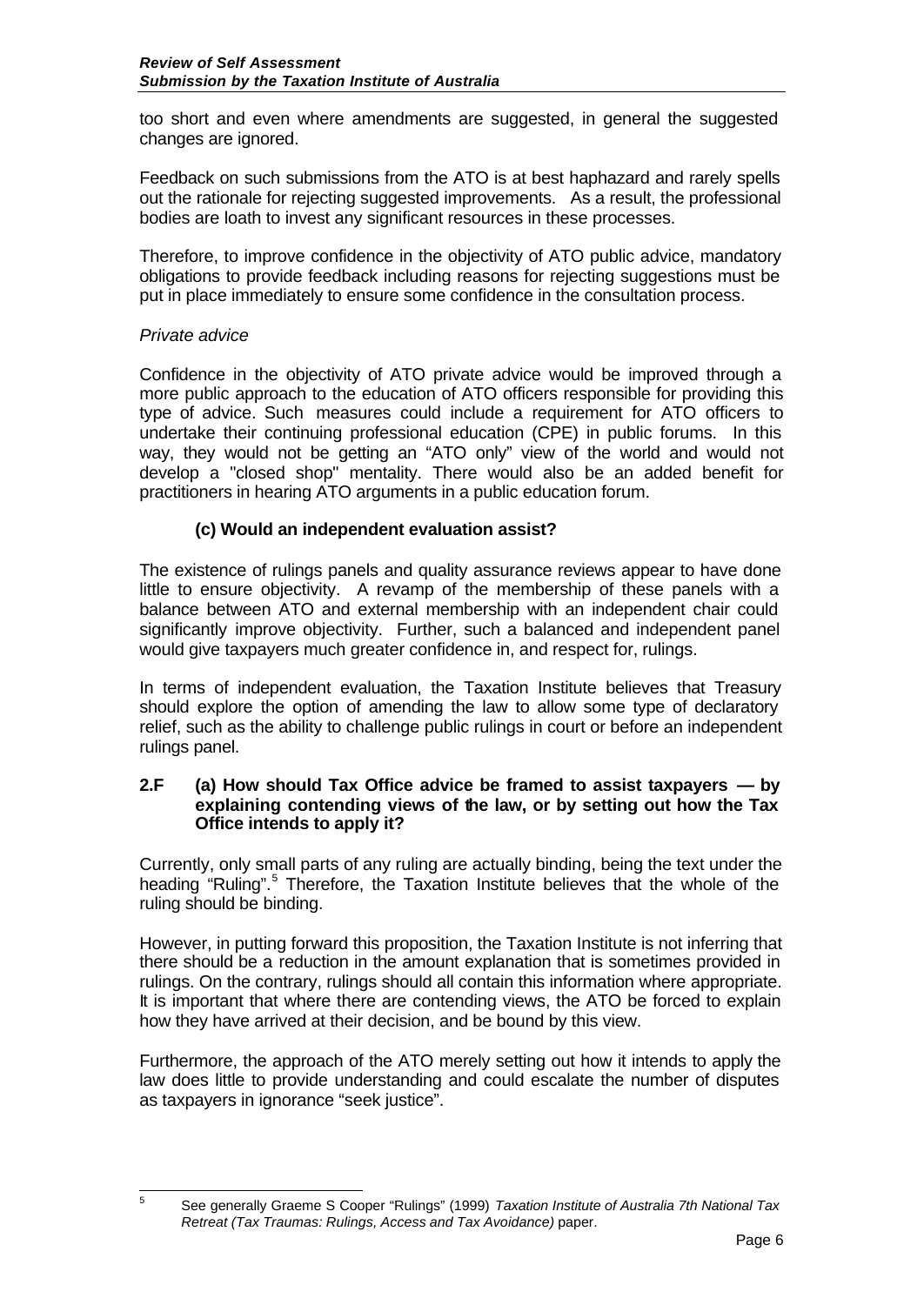too short and even where amendments are suggested, in general the suggested changes are ignored.

Feedback on such submissions from the ATO is at best haphazard and rarely spells out the rationale for rejecting suggested improvements. As a result, the professional bodies are loath to invest any significant resources in these processes.

Therefore, to improve confidence in the objectivity of ATO public advice, mandatory obligations to provide feedback including reasons for rejecting suggestions must be put in place immediately to ensure some confidence in the consultation process.

# *Private advice*

 $\overline{5}$ 

Confidence in the objectivity of ATO private advice would be improved through a more public approach to the education of ATO officers responsible for providing this type of advice. Such measures could include a requirement for ATO officers to undertake their continuing professional education (CPE) in public forums. In this way, they would not be getting an "ATO only" view of the world and would not develop a "closed shop" mentality. There would also be an added benefit for practitioners in hearing ATO arguments in a public education forum.

# **(c) Would an independent evaluation assist?**

The existence of rulings panels and quality assurance reviews appear to have done little to ensure objectivity. A revamp of the membership of these panels with a balance between ATO and external membership with an independent chair could significantly improve objectivity. Further, such a balanced and independent panel would give taxpayers much greater confidence in, and respect for, rulings.

In terms of independent evaluation, the Taxation Institute believes that Treasury should explore the option of amending the law to allow some type of declaratory relief, such as the ability to challenge public rulings in court or before an independent rulings panel.

### **2.F (a) How should Tax Office advice be framed to assist taxpayers — by explaining contending views of the law, or by setting out how the Tax Office intends to apply it?**

Currently, only small parts of any ruling are actually binding, being the text under the heading "Ruling".<sup>5</sup> Therefore, the Taxation Institute believes that the whole of the ruling should be binding.

However, in putting forward this proposition, the Taxation Institute is not inferring that there should be a reduction in the amount explanation that is sometimes provided in rulings. On the contrary, rulings should all contain this information where appropriate. It is important that where there are contending views, the ATO be forced to explain how they have arrived at their decision, and be bound by this view.

Furthermore, the approach of the ATO merely setting out how it intends to apply the law does little to provide understanding and could escalate the number of disputes as taxpayers in ignorance "seek justice".

<sup>5</sup> See generally Graeme S Cooper "Rulings" (1999) *Taxation Institute of Australia 7th National Tax Retreat (Tax Traumas: Rulings, Access and Tax Avoidance)* paper.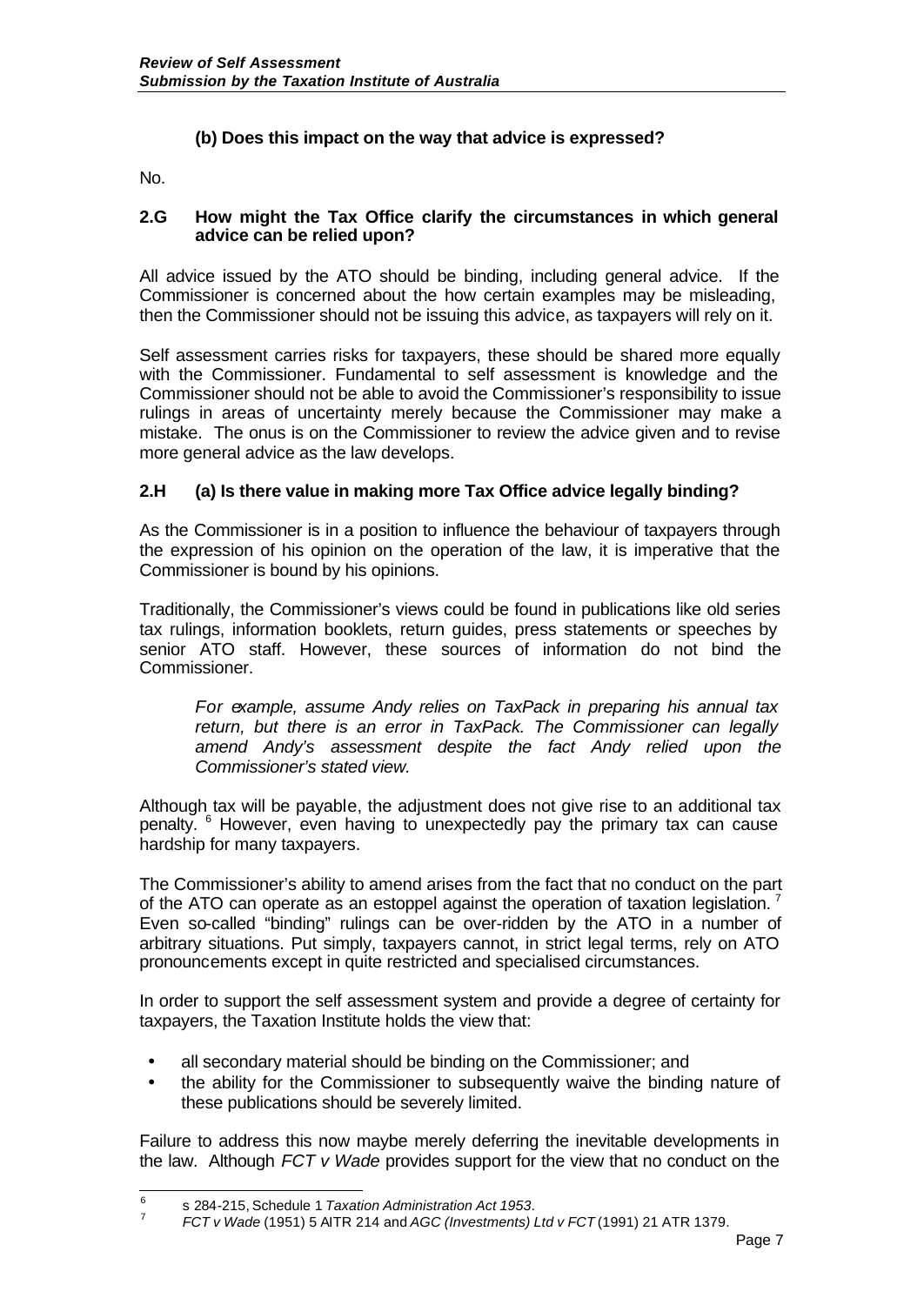# **(b) Does this impact on the way that advice is expressed?**

No.

#### **2.G How might the Tax Office clarify the circumstances in which general advice can be relied upon?**

All advice issued by the ATO should be binding, including general advice. If the Commissioner is concerned about the how certain examples may be misleading, then the Commissioner should not be issuing this advice, as taxpayers will rely on it.

Self assessment carries risks for taxpayers, these should be shared more equally with the Commissioner. Fundamental to self assessment is knowledge and the Commissioner should not be able to avoid the Commissioner's responsibility to issue rulings in areas of uncertainty merely because the Commissioner may make a mistake. The onus is on the Commissioner to review the advice given and to revise more general advice as the law develops.

# **2.H (a) Is there value in making more Tax Office advice legally binding?**

As the Commissioner is in a position to influence the behaviour of taxpayers through the expression of his opinion on the operation of the law, it is imperative that the Commissioner is bound by his opinions.

Traditionally, the Commissioner's views could be found in publications like old series tax rulings, information booklets, return guides, press statements or speeches by senior ATO staff. However, these sources of information do not bind the Commissioner.

*For example, assume Andy relies on TaxPack in preparing his annual tax return, but there is an error in TaxPack. The Commissioner can legally amend Andy's assessment despite the fact Andy relied upon the Commissioner's stated view.* 

Although tax will be payable, the adjustment does not give rise to an additional tax penalty. <sup>6</sup> However, even having to unexpectedly pay the primary tax can cause hardship for many taxpayers.

The Commissioner's ability to amend arises from the fact that no conduct on the part of the ATO can operate as an estoppel against the operation of taxation legislation. Even so-called "binding" rulings can be over-ridden by the ATO in a number of arbitrary situations. Put simply, taxpayers cannot, in strict legal terms, rely on ATO pronouncements except in quite restricted and specialised circumstances.

In order to support the self assessment system and provide a degree of certainty for taxpayers, the Taxation Institute holds the view that:

- all secondary material should be binding on the Commissioner; and
- the ability for the Commissioner to subsequently waive the binding nature of these publications should be severely limited.

Failure to address this now maybe merely deferring the inevitable developments in the law. Although *FCT v Wade* provides support for the view that no conduct on the

 6 s 284-215, Schedule 1 *Taxation Administration Act 1953*.

<sup>7</sup> *FCT v Wade* (1951) 5 AITR 214 and *AGC (Investments) Ltd v FCT* (1991) 21 ATR 1379.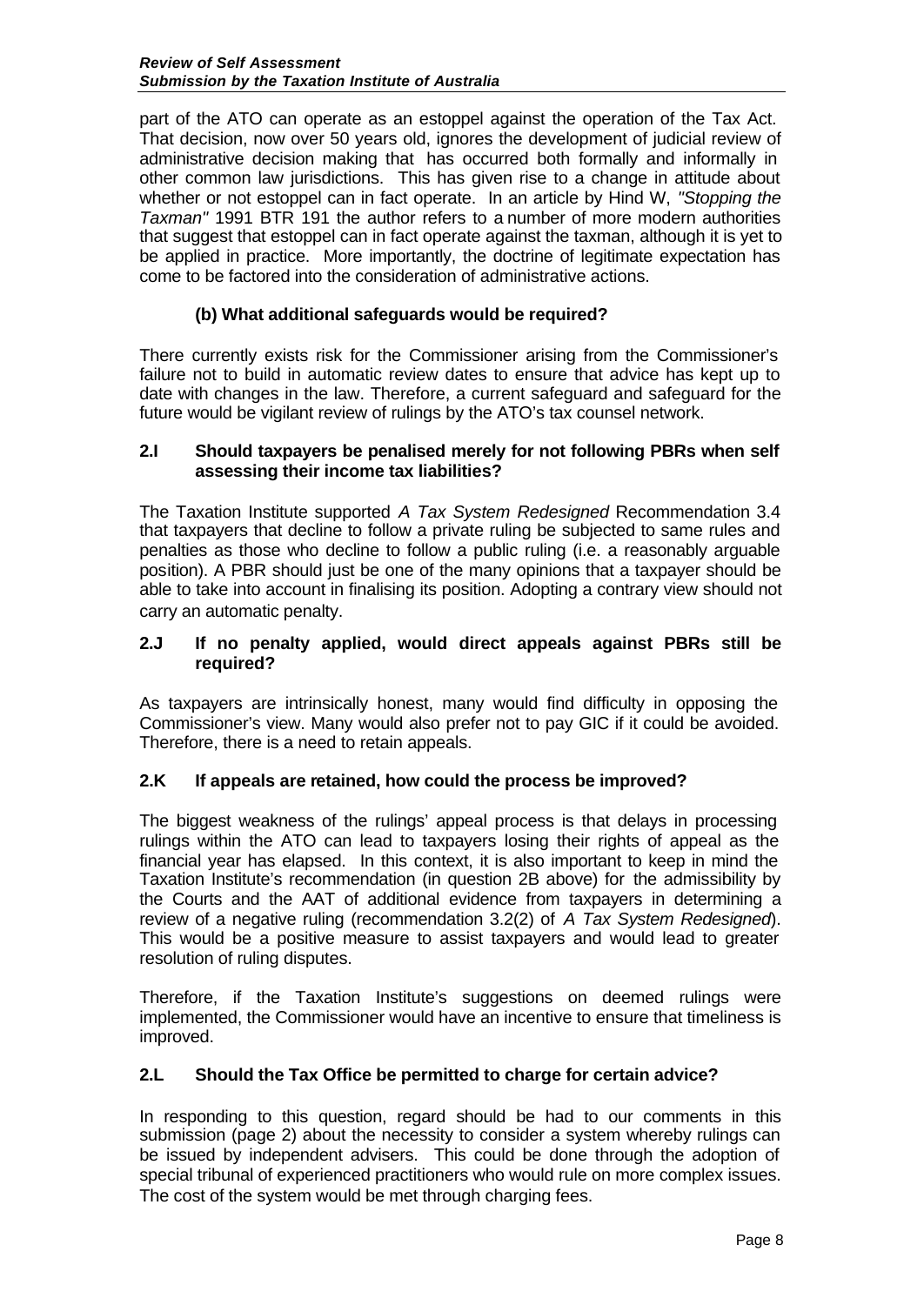part of the ATO can operate as an estoppel against the operation of the Tax Act. That decision, now over 50 years old, ignores the development of judicial review of administrative decision making that has occurred both formally and informally in other common law jurisdictions. This has given rise to a change in attitude about whether or not estoppel can in fact operate. In an article by Hind W, *"Stopping the Taxman"* 1991 BTR 191 the author refers to a number of more modern authorities that suggest that estoppel can in fact operate against the taxman, although it is yet to be applied in practice. More importantly, the doctrine of legitimate expectation has come to be factored into the consideration of administrative actions.

# **(b) What additional safeguards would be required?**

There currently exists risk for the Commissioner arising from the Commissioner's failure not to build in automatic review dates to ensure that advice has kept up to date with changes in the law. Therefore, a current safeguard and safeguard for the future would be vigilant review of rulings by the ATO's tax counsel network.

## **2.I Should taxpayers be penalised merely for not following PBRs when self assessing their income tax liabilities?**

The Taxation Institute supported *A Tax System Redesigned* Recommendation 3.4 that taxpayers that decline to follow a private ruling be subjected to same rules and penalties as those who decline to follow a public ruling (i.e. a reasonably arguable position). A PBR should just be one of the many opinions that a taxpayer should be able to take into account in finalising its position. Adopting a contrary view should not carry an automatic penalty.

### **2.J If no penalty applied, would direct appeals against PBRs still be required?**

As taxpayers are intrinsically honest, many would find difficulty in opposing the Commissioner's view. Many would also prefer not to pay GIC if it could be avoided. Therefore, there is a need to retain appeals.

## **2.K If appeals are retained, how could the process be improved?**

The biggest weakness of the rulings' appeal process is that delays in processing rulings within the ATO can lead to taxpayers losing their rights of appeal as the financial year has elapsed. In this context, it is also important to keep in mind the Taxation Institute's recommendation (in question 2B above) for the admissibility by the Courts and the AAT of additional evidence from taxpayers in determining a review of a negative ruling (recommendation 3.2(2) of *A Tax System Redesigned*). This would be a positive measure to assist taxpayers and would lead to greater resolution of ruling disputes.

Therefore, if the Taxation Institute's suggestions on deemed rulings were implemented, the Commissioner would have an incentive to ensure that timeliness is improved.

## **2.L Should the Tax Office be permitted to charge for certain advice?**

In responding to this question, regard should be had to our comments in this submission (page 2) about the necessity to consider a system whereby rulings can be issued by independent advisers. This could be done through the adoption of special tribunal of experienced practitioners who would rule on more complex issues. The cost of the system would be met through charging fees.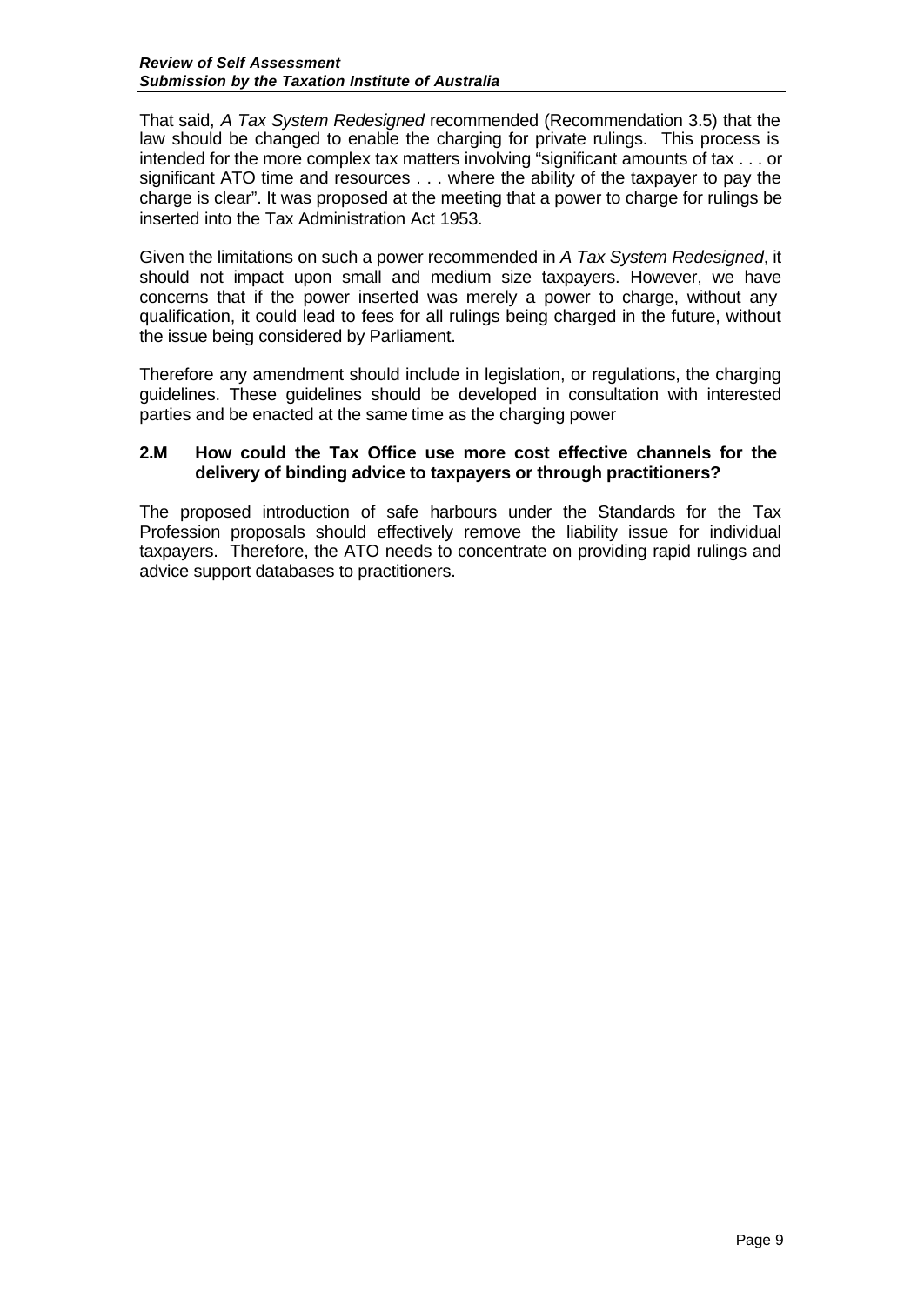That said, *A Tax System Redesigned* recommended (Recommendation 3.5) that the law should be changed to enable the charging for private rulings. This process is intended for the more complex tax matters involving "significant amounts of tax . . . or significant ATO time and resources . . . where the ability of the taxpayer to pay the charge is clear". It was proposed at the meeting that a power to charge for rulings be inserted into the Tax Administration Act 1953.

Given the limitations on such a power recommended in *A Tax System Redesigned*, it should not impact upon small and medium size taxpayers. However, we have concerns that if the power inserted was merely a power to charge, without any qualification, it could lead to fees for all rulings being charged in the future, without the issue being considered by Parliament.

Therefore any amendment should include in legislation, or regulations, the charging guidelines. These guidelines should be developed in consultation with interested parties and be enacted at the same time as the charging power

## **2.M How could the Tax Office use more cost effective channels for the delivery of binding advice to taxpayers or through practitioners?**

The proposed introduction of safe harbours under the Standards for the Tax Profession proposals should effectively remove the liability issue for individual taxpayers. Therefore, the ATO needs to concentrate on providing rapid rulings and advice support databases to practitioners.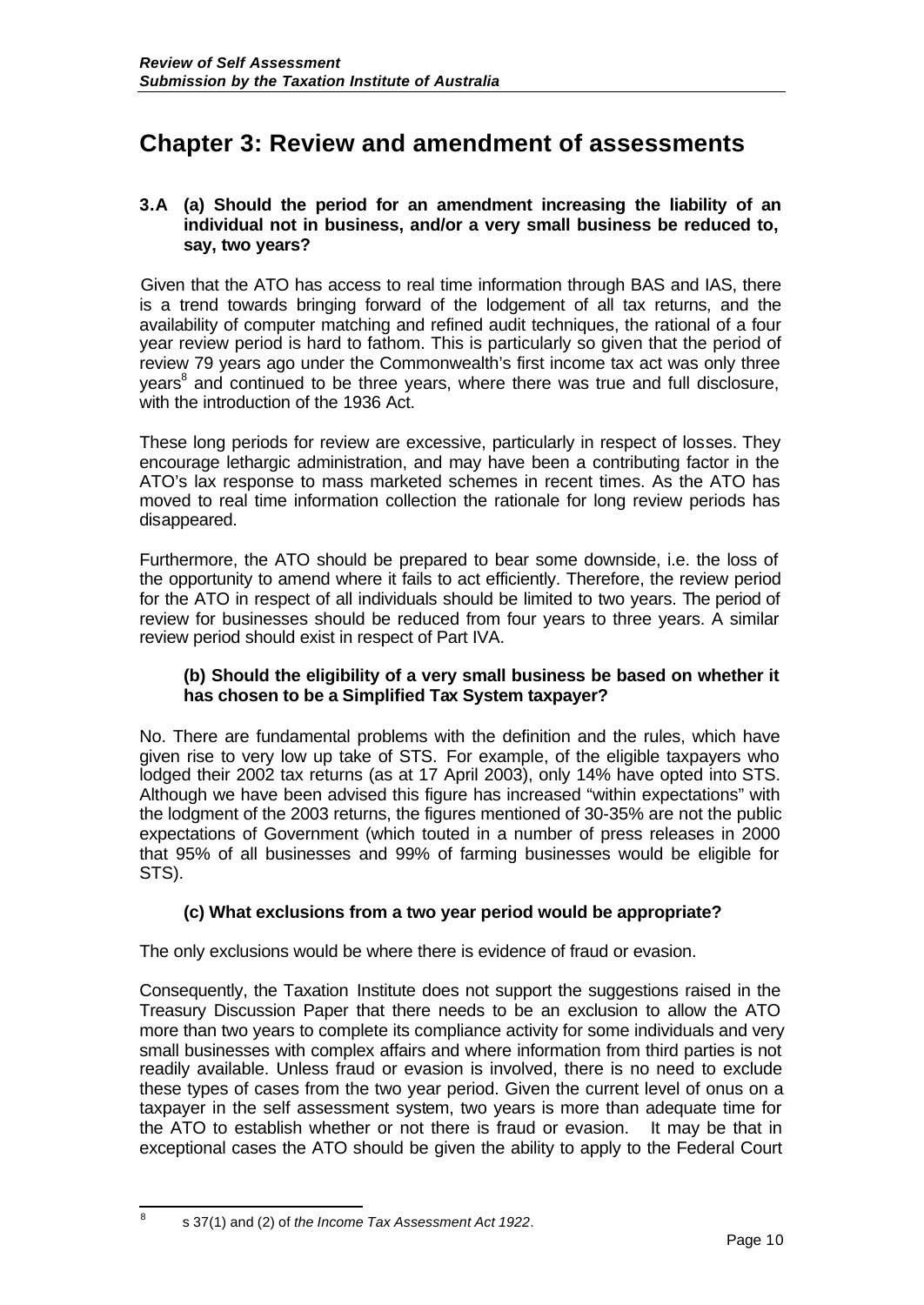# **Chapter 3: Review and amendment of assessments**

## **3.A (a) Should the period for an amendment increasing the liability of an individual not in business, and/or a very small business be reduced to, say, two years?**

Given that the ATO has access to real time information through BAS and IAS, there is a trend towards bringing forward of the lodgement of all tax returns, and the availability of computer matching and refined audit techniques, the rational of a four year review period is hard to fathom. This is particularly so given that the period of review 79 years ago under the Commonwealth's first income tax act was only three years<sup>8</sup> and continued to be three years, where there was true and full disclosure, with the introduction of the 1936 Act.

These long periods for review are excessive, particularly in respect of losses. They encourage lethargic administration, and may have been a contributing factor in the ATO's lax response to mass marketed schemes in recent times. As the ATO has moved to real time information collection the rationale for long review periods has disappeared.

Furthermore, the ATO should be prepared to bear some downside, i.e. the loss of the opportunity to amend where it fails to act efficiently. Therefore, the review period for the ATO in respect of all individuals should be limited to two years. The period of review for businesses should be reduced from four years to three years. A similar review period should exist in respect of Part IVA.

#### **(b) Should the eligibility of a very small business be based on whether it has chosen to be a Simplified Tax System taxpayer?**

No. There are fundamental problems with the definition and the rules, which have given rise to very low up take of STS. For example, of the eligible taxpayers who lodged their 2002 tax returns (as at 17 April 2003), only 14% have opted into STS. Although we have been advised this figure has increased "within expectations" with the lodgment of the 2003 returns, the figures mentioned of 30-35% are not the public expectations of Government (which touted in a number of press releases in 2000 that 95% of all businesses and 99% of farming businesses would be eligible for STS).

## **(c) What exclusions from a two year period would be appropriate?**

The only exclusions would be where there is evidence of fraud or evasion.

Consequently, the Taxation Institute does not support the suggestions raised in the Treasury Discussion Paper that there needs to be an exclusion to allow the ATO more than two years to complete its compliance activity for some individuals and very small businesses with complex affairs and where information from third parties is not readily available. Unless fraud or evasion is involved, there is no need to exclude these types of cases from the two year period. Given the current level of onus on a taxpayer in the self assessment system, two years is more than adequate time for the ATO to establish whether or not there is fraud or evasion. It may be that in exceptional cases the ATO should be given the ability to apply to the Federal Court

 8 s 37(1) and (2) of *the Income Tax Assessment Act 1922*.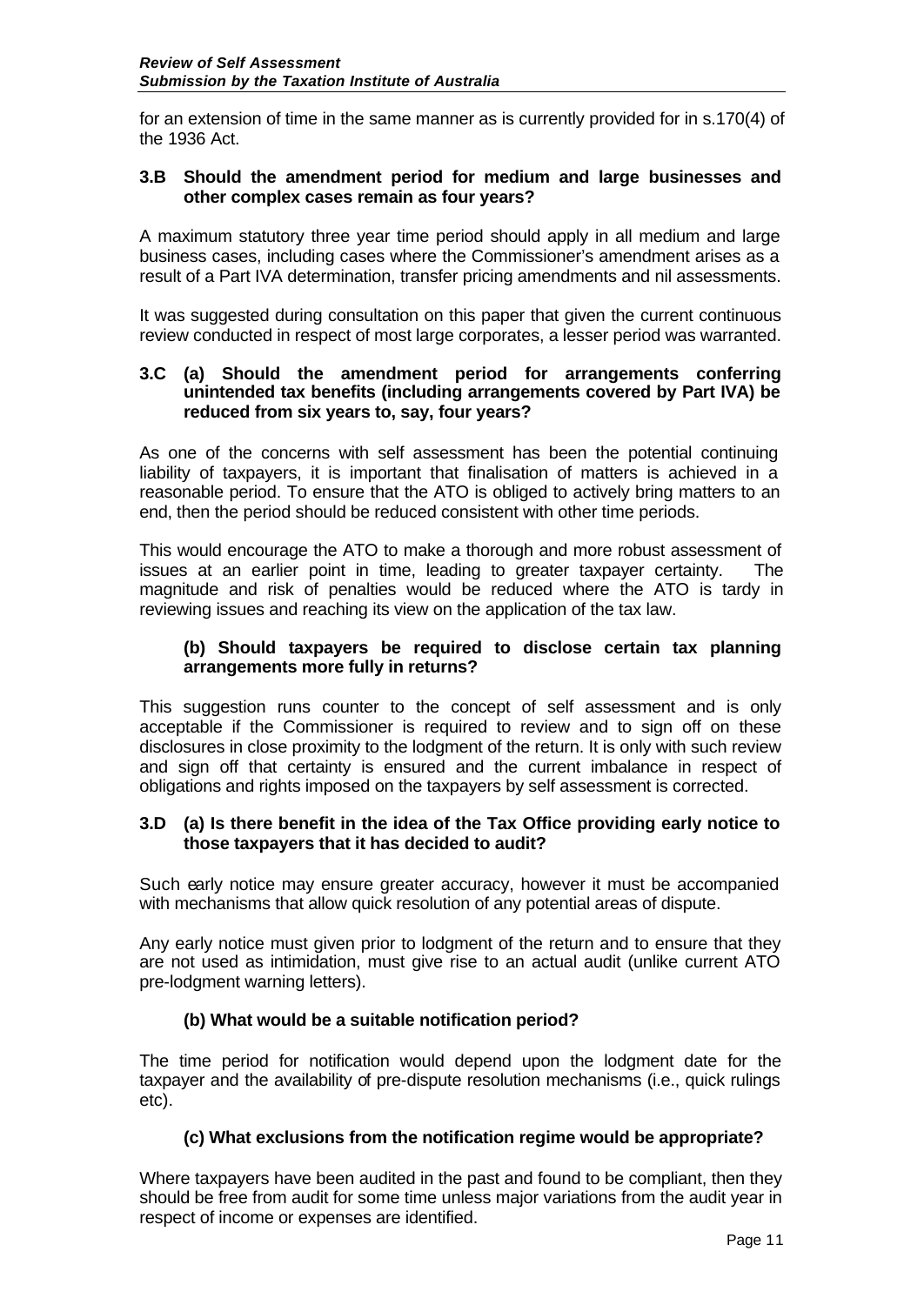for an extension of time in the same manner as is currently provided for in s.170(4) of the 1936 Act.

### **3.B Should the amendment period for medium and large businesses and other complex cases remain as four years?**

A maximum statutory three year time period should apply in all medium and large business cases, including cases where the Commissioner's amendment arises as a result of a Part IVA determination, transfer pricing amendments and nil assessments.

It was suggested during consultation on this paper that given the current continuous review conducted in respect of most large corporates, a lesser period was warranted.

#### **3.C (a) Should the amendment period for arrangements conferring unintended tax benefits (including arrangements covered by Part IVA) be reduced from six years to, say, four years?**

As one of the concerns with self assessment has been the potential continuing liability of taxpayers, it is important that finalisation of matters is achieved in a reasonable period. To ensure that the ATO is obliged to actively bring matters to an end, then the period should be reduced consistent with other time periods.

This would encourage the ATO to make a thorough and more robust assessment of issues at an earlier point in time, leading to greater taxpayer certainty. The magnitude and risk of penalties would be reduced where the ATO is tardy in reviewing issues and reaching its view on the application of the tax law.

#### **(b) Should taxpayers be required to disclose certain tax planning arrangements more fully in returns?**

This suggestion runs counter to the concept of self assessment and is only acceptable if the Commissioner is required to review and to sign off on these disclosures in close proximity to the lodgment of the return. It is only with such review and sign off that certainty is ensured and the current imbalance in respect of obligations and rights imposed on the taxpayers by self assessment is corrected.

## **3.D (a) Is there benefit in the idea of the Tax Office providing early notice to those taxpayers that it has decided to audit?**

Such early notice may ensure greater accuracy, however it must be accompanied with mechanisms that allow quick resolution of any potential areas of dispute.

Any early notice must given prior to lodgment of the return and to ensure that they are not used as intimidation, must give rise to an actual audit (unlike current ATO pre-lodgment warning letters).

## **(b) What would be a suitable notification period?**

The time period for notification would depend upon the lodgment date for the taxpayer and the availability of pre-dispute resolution mechanisms (i.e., quick rulings etc).

## **(c) What exclusions from the notification regime would be appropriate?**

Where taxpayers have been audited in the past and found to be compliant, then they should be free from audit for some time unless major variations from the audit year in respect of income or expenses are identified.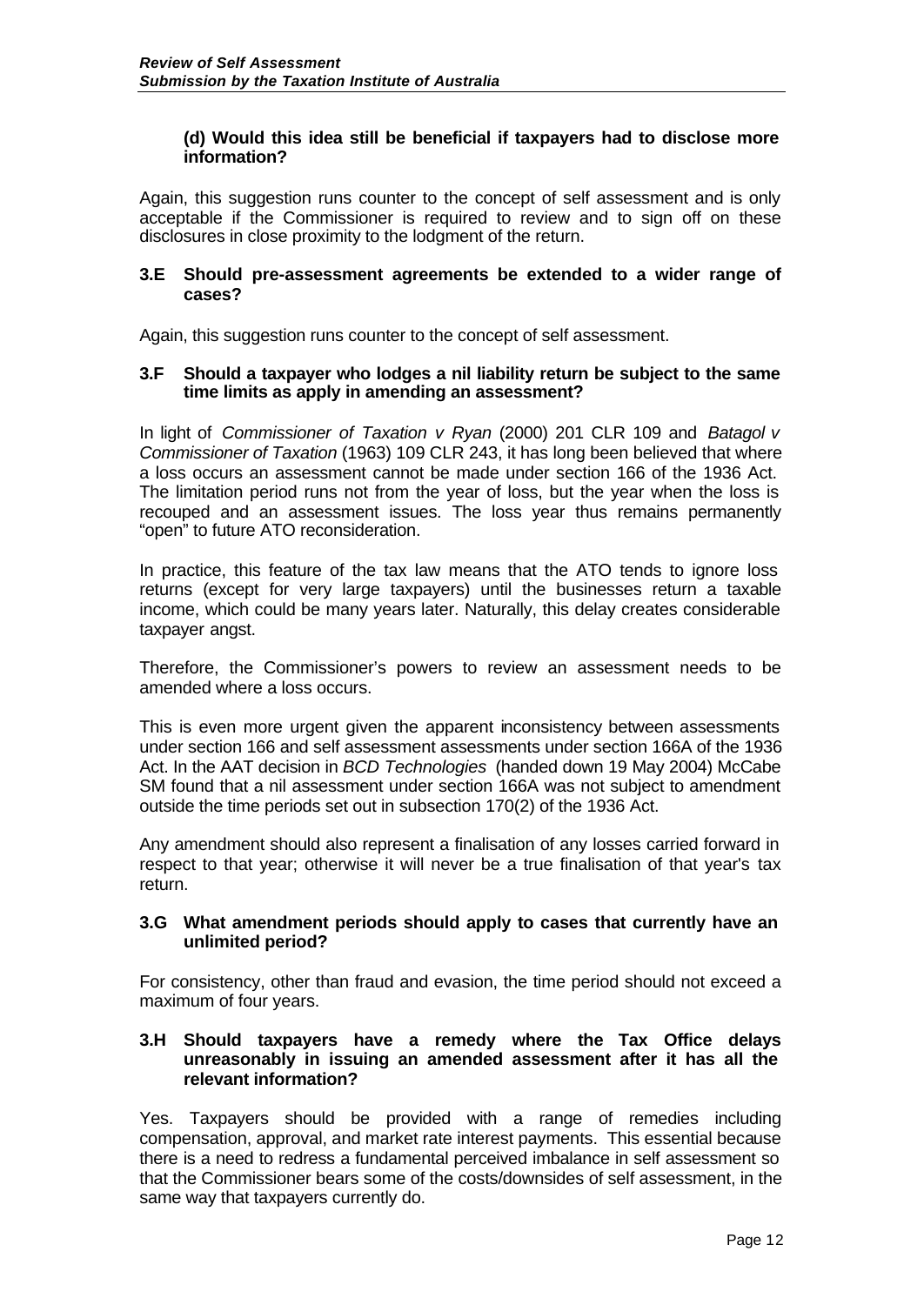### **(d) Would this idea still be beneficial if taxpayers had to disclose more information?**

Again, this suggestion runs counter to the concept of self assessment and is only acceptable if the Commissioner is required to review and to sign off on these disclosures in close proximity to the lodgment of the return.

#### **3.E Should pre-assessment agreements be extended to a wider range of cases?**

Again, this suggestion runs counter to the concept of self assessment.

#### **3.F Should a taxpayer who lodges a nil liability return be subject to the same time limits as apply in amending an assessment?**

In light of *Commissioner of Taxation v Ryan* (2000) 201 CLR 109 and *Batagol v Commissioner of Taxation* (1963) 109 CLR 243, it has long been believed that where a loss occurs an assessment cannot be made under section 166 of the 1936 Act. The limitation period runs not from the year of loss, but the year when the loss is recouped and an assessment issues. The loss year thus remains permanently "open" to future ATO reconsideration.

In practice, this feature of the tax law means that the ATO tends to ignore loss returns (except for very large taxpayers) until the businesses return a taxable income, which could be many years later. Naturally, this delay creates considerable taxpayer angst.

Therefore, the Commissioner's powers to review an assessment needs to be amended where a loss occurs.

This is even more urgent given the apparent inconsistency between assessments under section 166 and self assessment assessments under section 166A of the 1936 Act. In the AAT decision in *BCD Technologies* (handed down 19 May 2004) McCabe SM found that a nil assessment under section 166A was not subject to amendment outside the time periods set out in subsection 170(2) of the 1936 Act.

Any amendment should also represent a finalisation of any losses carried forward in respect to that year; otherwise it will never be a true finalisation of that year's tax return.

#### **3.G What amendment periods should apply to cases that currently have an unlimited period?**

For consistency, other than fraud and evasion, the time period should not exceed a maximum of four years.

### **3.H Should taxpayers have a remedy where the Tax Office delays unreasonably in issuing an amended assessment after it has all the relevant information?**

Yes. Taxpayers should be provided with a range of remedies including compensation, approval, and market rate interest payments. This essential because there is a need to redress a fundamental perceived imbalance in self assessment so that the Commissioner bears some of the costs/downsides of self assessment, in the same way that taxpayers currently do.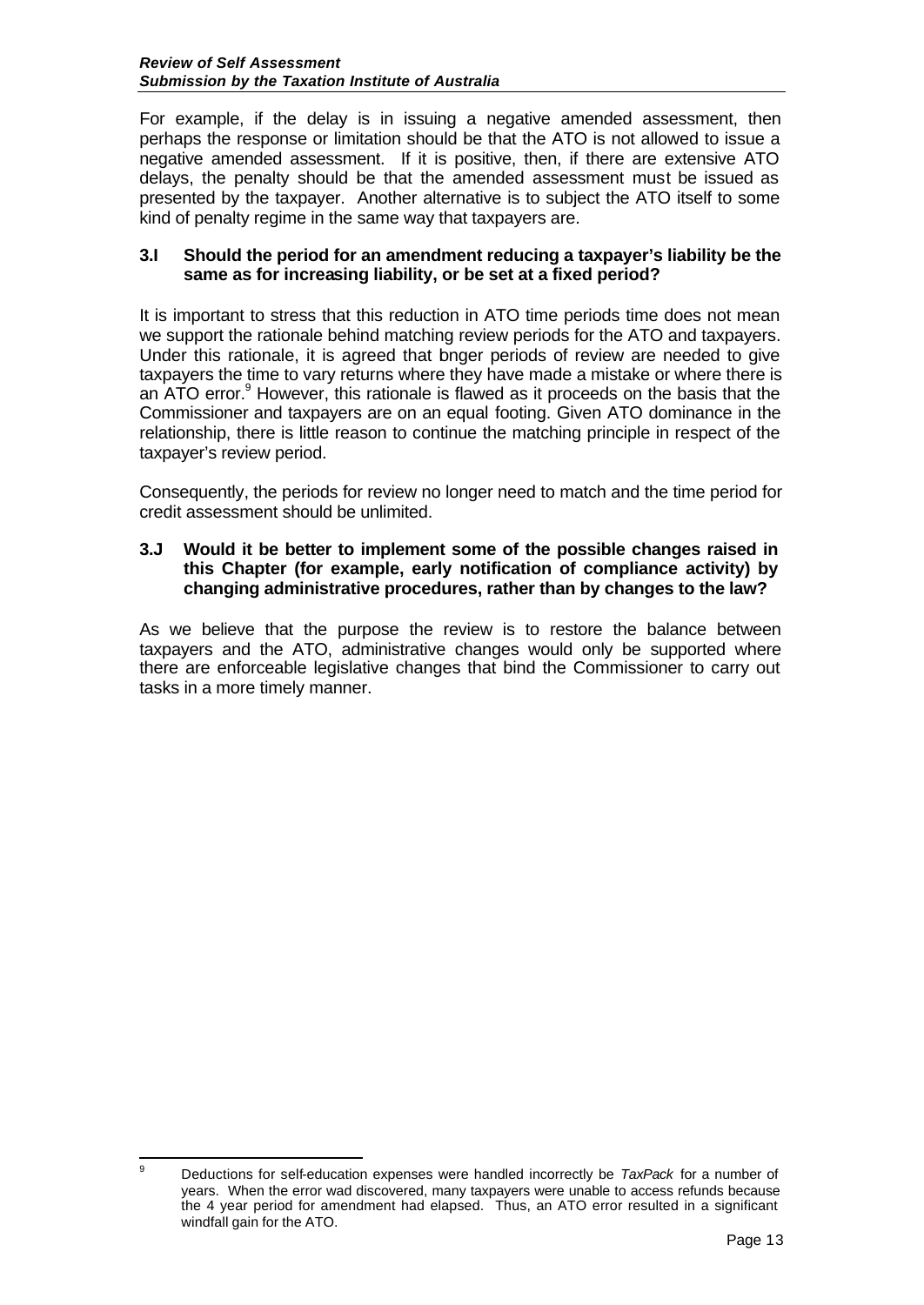For example, if the delay is in issuing a negative amended assessment, then perhaps the response or limitation should be that the ATO is not allowed to issue a negative amended assessment. If it is positive, then, if there are extensive ATO delays, the penalty should be that the amended assessment must be issued as presented by the taxpayer. Another alternative is to subject the ATO itself to some kind of penalty regime in the same way that taxpayers are.

## **3.I Should the period for an amendment reducing a taxpayer's liability be the same as for increasing liability, or be set at a fixed period?**

It is important to stress that this reduction in ATO time periods time does not mean we support the rationale behind matching review periods for the ATO and taxpayers. Under this rationale, it is agreed that bnger periods of review are needed to give taxpayers the time to vary returns where they have made a mistake or where there is an ATO error.<sup>9</sup> However, this rationale is flawed as it proceeds on the basis that the Commissioner and taxpayers are on an equal footing. Given ATO dominance in the relationship, there is little reason to continue the matching principle in respect of the taxpayer's review period.

Consequently, the periods for review no longer need to match and the time period for credit assessment should be unlimited.

## **3.J Would it be better to implement some of the possible changes raised in this Chapter (for example, early notification of compliance activity) by changing administrative procedures, rather than by changes to the law?**

As we believe that the purpose the review is to restore the balance between taxpayers and the ATO, administrative changes would only be supported where there are enforceable legislative changes that bind the Commissioner to carry out tasks in a more timely manner.

 $\mathsf{Q}$ <sup>9</sup> Deductions for self-education expenses were handled incorrectly be *TaxPack* for a number of years. When the error wad discovered, many taxpayers were unable to access refunds because the 4 year period for amendment had elapsed. Thus, an ATO error resulted in a significant windfall gain for the ATO.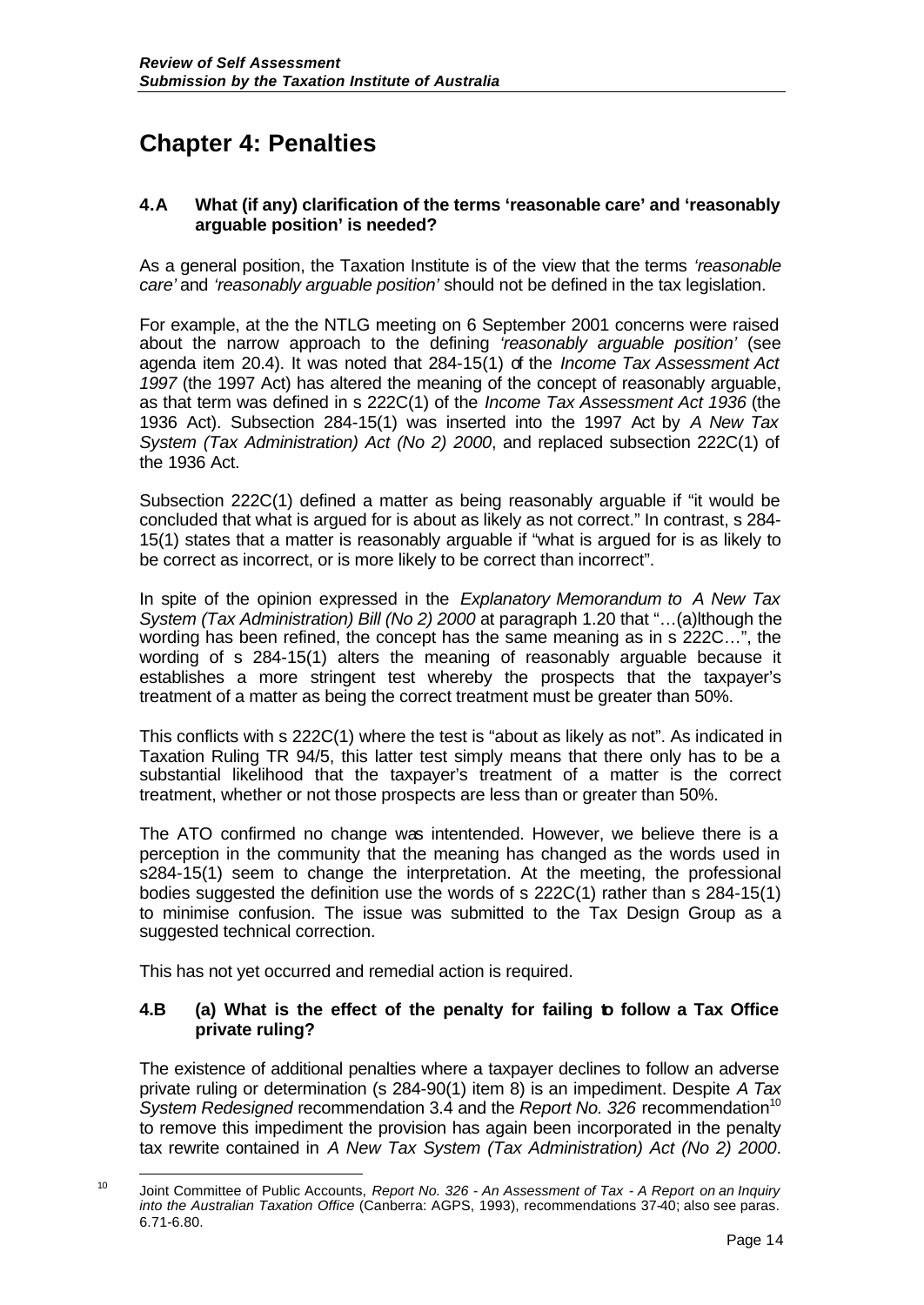# **Chapter 4: Penalties**

## **4.A What (if any) clarification of the terms 'reasonable care' and 'reasonably arguable position' is needed?**

As a general position, the Taxation Institute is of the view that the terms *'reasonable care'* and *'reasonably arguable position'* should not be defined in the tax legislation.

For example, at the the NTLG meeting on 6 September 2001 concerns were raised about the narrow approach to the defining *'reasonably arguable position'* (see agenda item 20.4). It was noted that 284-15(1) of the *Income Tax Assessment Act 1997* (the 1997 Act) has altered the meaning of the concept of reasonably arguable, as that term was defined in s 222C(1) of the *Income Tax Assessment Act 1936* (the 1936 Act). Subsection 284-15(1) was inserted into the 1997 Act by *A New Tax System (Tax Administration) Act (No 2) 2000*, and replaced subsection 222C(1) of the 1936 Act.

Subsection 222C(1) defined a matter as being reasonably arguable if "it would be concluded that what is argued for is about as likely as not correct." In contrast, s 284- 15(1) states that a matter is reasonably arguable if "what is argued for is as likely to be correct as incorrect, or is more likely to be correct than incorrect".

In spite of the opinion expressed in the *Explanatory Memorandum to A New Tax System (Tax Administration) Bill (No 2) 2000* at paragraph 1.20 that "…(a)lthough the wording has been refined, the concept has the same meaning as in s 222C…", the wording of s 284-15(1) alters the meaning of reasonably arguable because it establishes a more stringent test whereby the prospects that the taxpayer's treatment of a matter as being the correct treatment must be greater than 50%.

This conflicts with s 222C(1) where the test is "about as likely as not". As indicated in Taxation Ruling TR 94/5, this latter test simply means that there only has to be a substantial likelihood that the taxpayer's treatment of a matter is the correct treatment, whether or not those prospects are less than or greater than 50%.

The ATO confirmed no change was intentended. However, we believe there is a perception in the community that the meaning has changed as the words used in s284-15(1) seem to change the interpretation. At the meeting, the professional bodies suggested the definition use the words of s 222C(1) rather than s 284-15(1) to minimise confusion. The issue was submitted to the Tax Design Group as a suggested technical correction.

This has not yet occurred and remedial action is required.

# **4.B (a) What is the effect of the penalty for failing to follow a Tax Office private ruling?**

The existence of additional penalties where a taxpayer declines to follow an adverse private ruling or determination (s 284-90(1) item 8) is an impediment. Despite *A Tax System Redesigned* recommendation 3.4 and the *Report No.* 326 recommendation<sup>10</sup> to remove this impediment the provision has again been incorporated in the penalty tax rewrite contained in *A New Tax System (Tax Administration) Act (No 2) 2000*.

l <sup>10</sup> Joint Committee of Public Accounts, *Report No. 326 - An Assessment of Tax - A Report on an Inquiry into the Australian Taxation Office* (Canberra: AGPS, 1993), recommendations 37-40; also see paras. 6.71-6.80.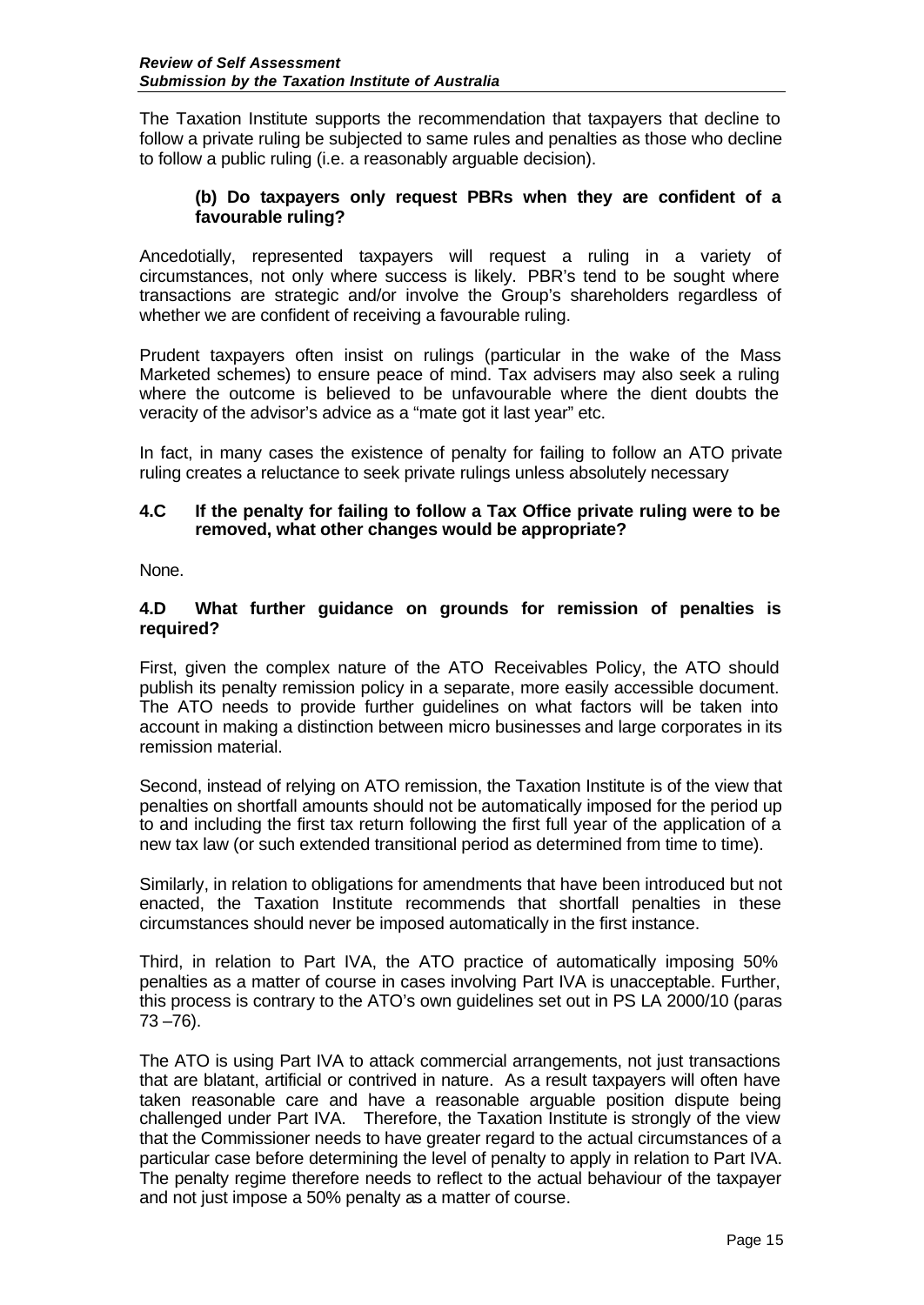The Taxation Institute supports the recommendation that taxpayers that decline to follow a private ruling be subjected to same rules and penalties as those who decline to follow a public ruling (i.e. a reasonably arguable decision).

## **(b) Do taxpayers only request PBRs when they are confident of a favourable ruling?**

Ancedotially, represented taxpayers will request a ruling in a variety of circumstances, not only where success is likely. PBR's tend to be sought where transactions are strategic and/or involve the Group's shareholders regardless of whether we are confident of receiving a favourable ruling.

Prudent taxpayers often insist on rulings (particular in the wake of the Mass Marketed schemes) to ensure peace of mind. Tax advisers may also seek a ruling where the outcome is believed to be unfavourable where the dient doubts the veracity of the advisor's advice as a "mate got it last year" etc.

In fact, in many cases the existence of penalty for failing to follow an ATO private ruling creates a reluctance to seek private rulings unless absolutely necessary

#### **4.C If the penalty for failing to follow a Tax Office private ruling were to be removed, what other changes would be appropriate?**

None.

## **4.D What further guidance on grounds for remission of penalties is required?**

First, given the complex nature of the ATO Receivables Policy, the ATO should publish its penalty remission policy in a separate, more easily accessible document. The ATO needs to provide further guidelines on what factors will be taken into account in making a distinction between micro businesses and large corporates in its remission material.

Second, instead of relying on ATO remission, the Taxation Institute is of the view that penalties on shortfall amounts should not be automatically imposed for the period up to and including the first tax return following the first full year of the application of a new tax law (or such extended transitional period as determined from time to time).

Similarly, in relation to obligations for amendments that have been introduced but not enacted, the Taxation Institute recommends that shortfall penalties in these circumstances should never be imposed automatically in the first instance.

Third, in relation to Part IVA, the ATO practice of automatically imposing 50% penalties as a matter of course in cases involving Part IVA is unacceptable. Further, this process is contrary to the ATO's own guidelines set out in PS LA 2000/10 (paras  $73 - 76$ ).

The ATO is using Part IVA to attack commercial arrangements, not just transactions that are blatant, artificial or contrived in nature. As a result taxpayers will often have taken reasonable care and have a reasonable arguable position dispute being challenged under Part IVA. Therefore, the Taxation Institute is strongly of the view that the Commissioner needs to have greater regard to the actual circumstances of a particular case before determining the level of penalty to apply in relation to Part IVA. The penalty regime therefore needs to reflect to the actual behaviour of the taxpayer and not just impose a 50% penalty as a matter of course.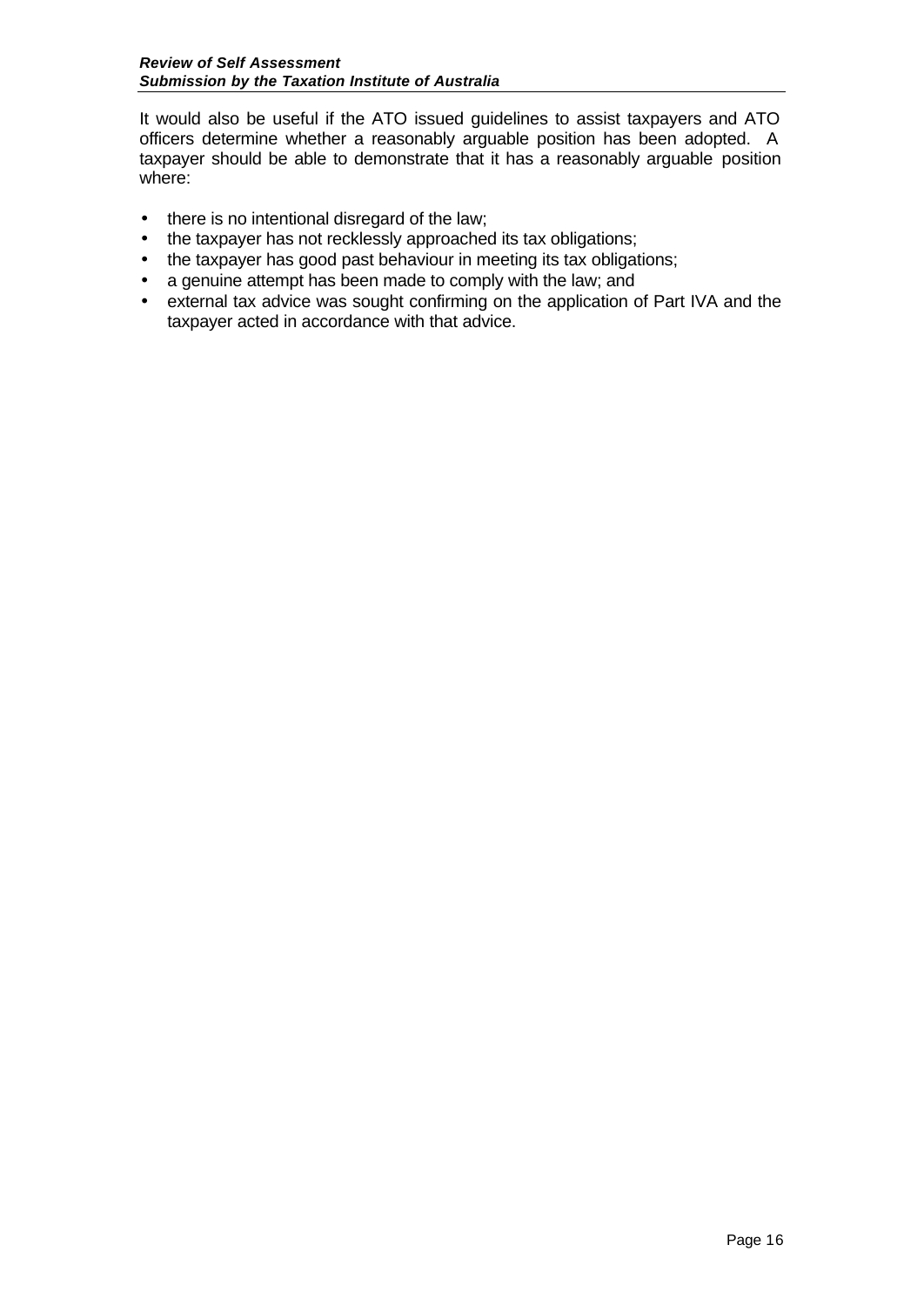It would also be useful if the ATO issued guidelines to assist taxpayers and ATO officers determine whether a reasonably arguable position has been adopted. A taxpayer should be able to demonstrate that it has a reasonably arguable position where:

- there is no intentional disregard of the law;
- the taxpayer has not recklessly approached its tax obligations;
- the taxpayer has good past behaviour in meeting its tax obligations;
- a genuine attempt has been made to comply with the law; and
- external tax advice was sought confirming on the application of Part IVA and the taxpayer acted in accordance with that advice.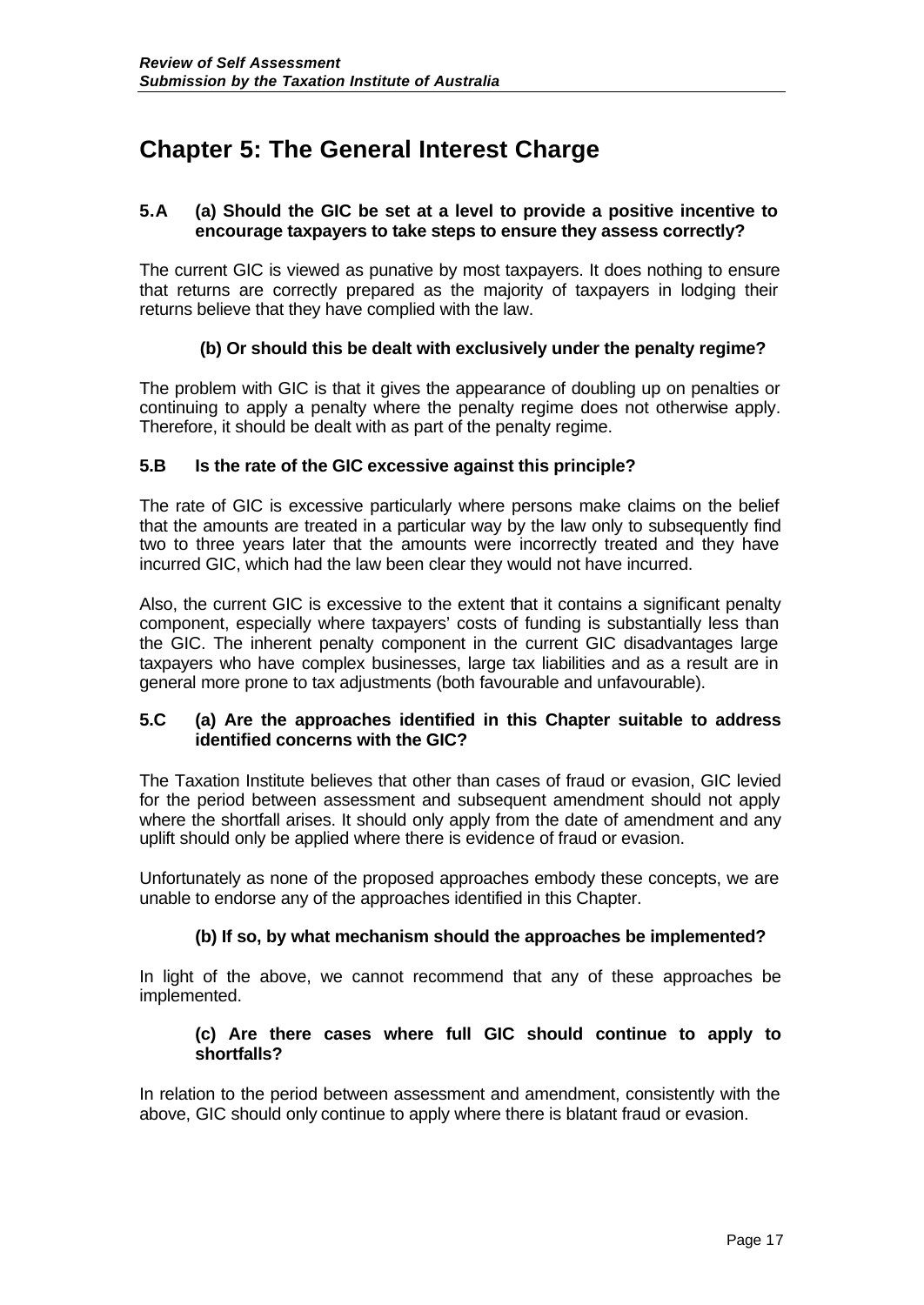# **Chapter 5: The General Interest Charge**

## **5.A (a) Should the GIC be set at a level to provide a positive incentive to encourage taxpayers to take steps to ensure they assess correctly?**

The current GIC is viewed as punative by most taxpayers. It does nothing to ensure that returns are correctly prepared as the majority of taxpayers in lodging their returns believe that they have complied with the law.

# **(b) Or should this be dealt with exclusively under the penalty regime?**

The problem with GIC is that it gives the appearance of doubling up on penalties or continuing to apply a penalty where the penalty regime does not otherwise apply. Therefore, it should be dealt with as part of the penalty regime.

## **5.B Is the rate of the GIC excessive against this principle?**

The rate of GIC is excessive particularly where persons make claims on the belief that the amounts are treated in a particular way by the law only to subsequently find two to three years later that the amounts were incorrectly treated and they have incurred GIC, which had the law been clear they would not have incurred.

Also, the current GIC is excessive to the extent that it contains a significant penalty component, especially where taxpayers' costs of funding is substantially less than the GIC. The inherent penalty component in the current GIC disadvantages large taxpayers who have complex businesses, large tax liabilities and as a result are in general more prone to tax adjustments (both favourable and unfavourable).

## **5.C (a) Are the approaches identified in this Chapter suitable to address identified concerns with the GIC?**

The Taxation Institute believes that other than cases of fraud or evasion, GIC levied for the period between assessment and subsequent amendment should not apply where the shortfall arises. It should only apply from the date of amendment and any uplift should only be applied where there is evidence of fraud or evasion.

Unfortunately as none of the proposed approaches embody these concepts, we are unable to endorse any of the approaches identified in this Chapter.

## **(b) If so, by what mechanism should the approaches be implemented?**

In light of the above, we cannot recommend that any of these approaches be implemented.

#### **(c) Are there cases where full GIC should continue to apply to shortfalls?**

In relation to the period between assessment and amendment, consistently with the above, GIC should only continue to apply where there is blatant fraud or evasion.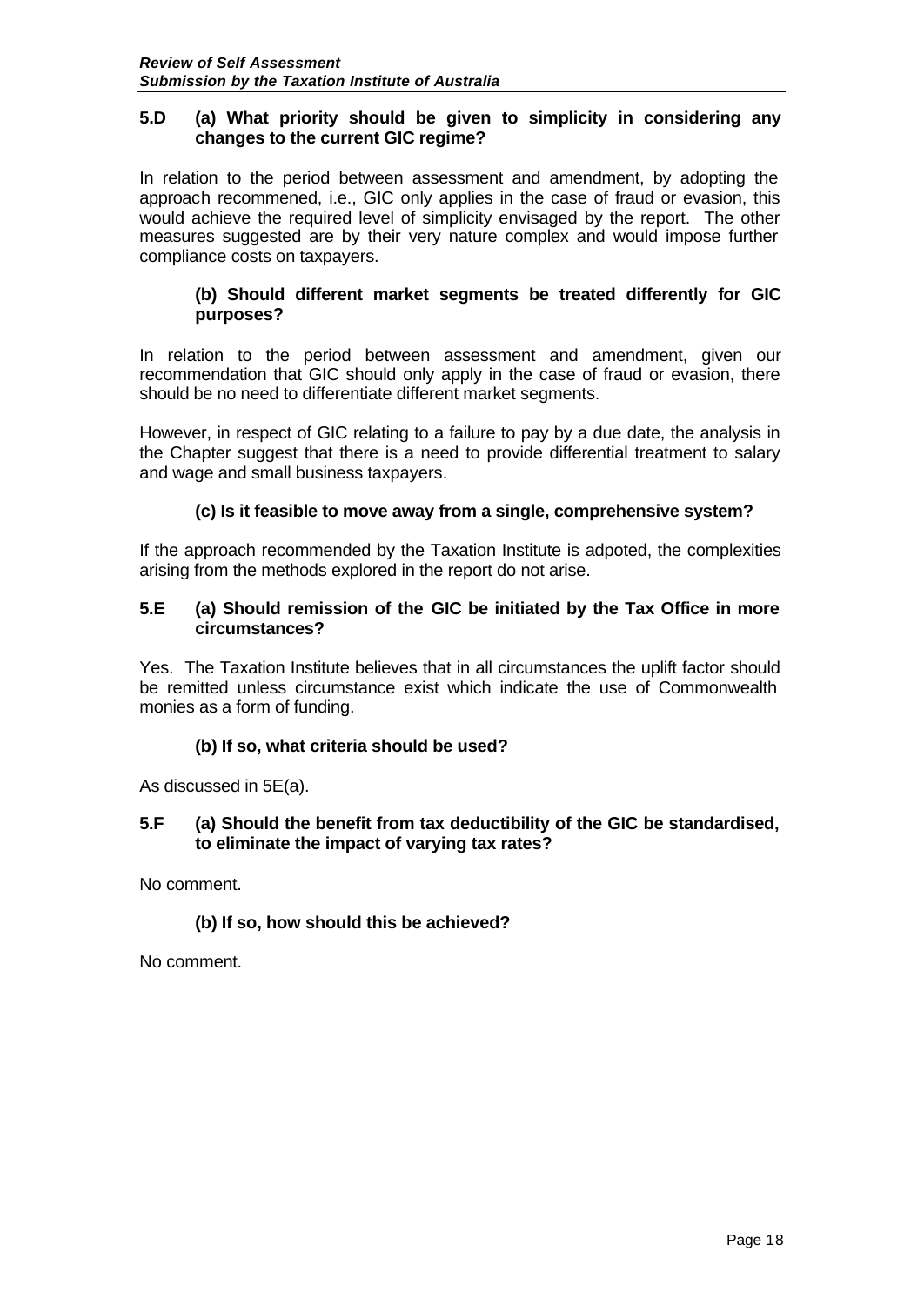## **5.D (a) What priority should be given to simplicity in considering any changes to the current GIC regime?**

In relation to the period between assessment and amendment, by adopting the approach recommened, i.e., GIC only applies in the case of fraud or evasion, this would achieve the required level of simplicity envisaged by the report. The other measures suggested are by their very nature complex and would impose further compliance costs on taxpayers.

## **(b) Should different market segments be treated differently for GIC purposes?**

In relation to the period between assessment and amendment, given our recommendation that GIC should only apply in the case of fraud or evasion, there should be no need to differentiate different market segments.

However, in respect of GIC relating to a failure to pay by a due date, the analysis in the Chapter suggest that there is a need to provide differential treatment to salary and wage and small business taxpayers.

# **(c) Is it feasible to move away from a single, comprehensive system?**

If the approach recommended by the Taxation Institute is adpoted, the complexities arising from the methods explored in the report do not arise.

## **5.E (a) Should remission of the GIC be initiated by the Tax Office in more circumstances?**

Yes. The Taxation Institute believes that in all circumstances the uplift factor should be remitted unless circumstance exist which indicate the use of Commonwealth monies as a form of funding.

## **(b) If so, what criteria should be used?**

As discussed in 5E(a).

## **5.F (a) Should the benefit from tax deductibility of the GIC be standardised, to eliminate the impact of varying tax rates?**

No comment.

## **(b) If so, how should this be achieved?**

No comment.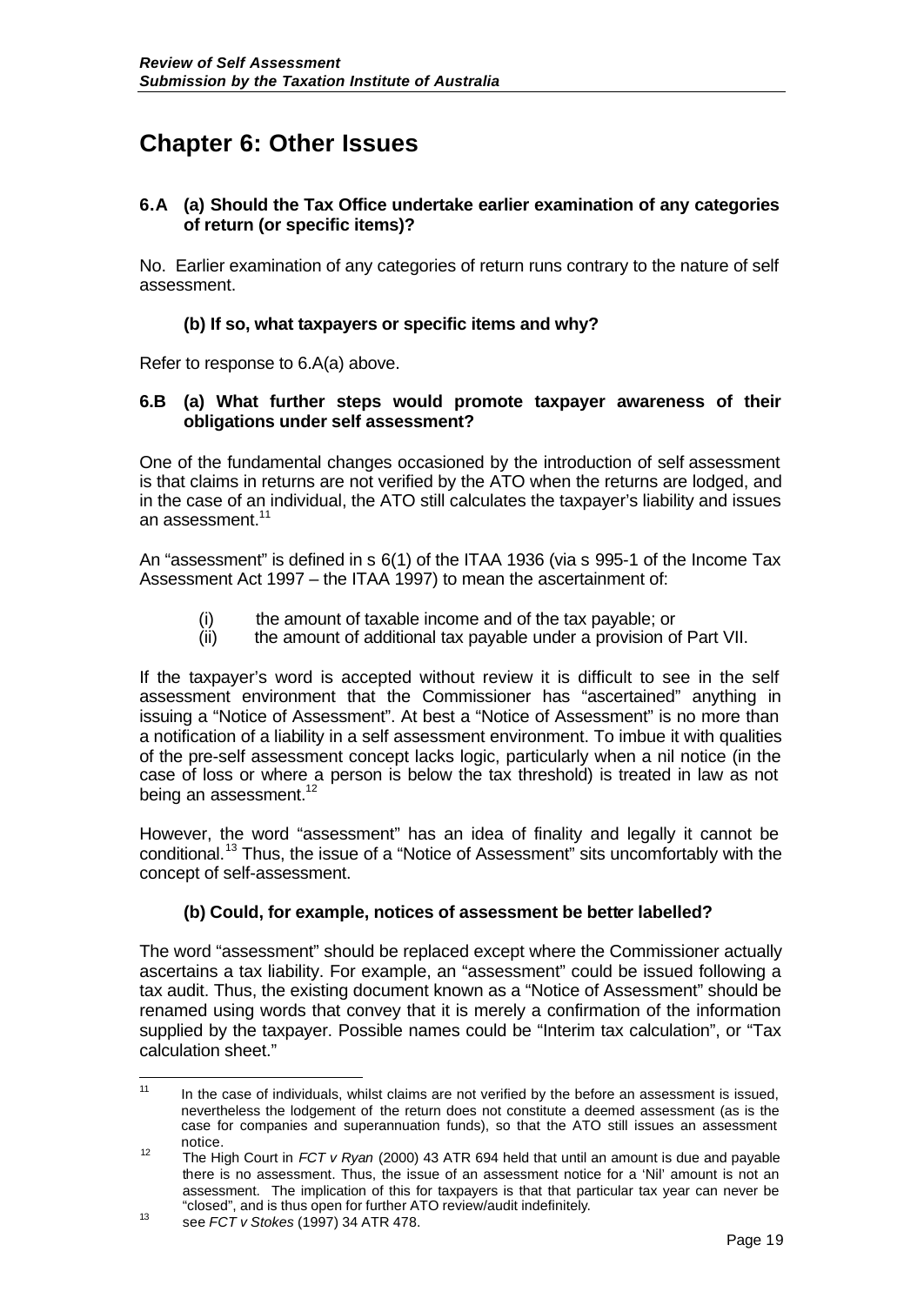# **Chapter 6: Other Issues**

## **6.A (a) Should the Tax Office undertake earlier examination of any categories of return (or specific items)?**

No. Earlier examination of any categories of return runs contrary to the nature of self assessment.

## **(b) If so, what taxpayers or specific items and why?**

Refer to response to 6.A(a) above.

## **6.B (a) What further steps would promote taxpayer awareness of their obligations under self assessment?**

One of the fundamental changes occasioned by the introduction of self assessment is that claims in returns are not verified by the ATO when the returns are lodged, and in the case of an individual, the ATO still calculates the taxpayer's liability and issues an assessment. $^{\mathsf{11}}$ 

An "assessment" is defined in s 6(1) of the ITAA 1936 (via s 995-1 of the Income Tax Assessment Act 1997 – the ITAA 1997) to mean the ascertainment of:

- (i) the amount of taxable income and of the tax payable; or  $(i)$  the amount of additional tax payable under a provision of
- the amount of additional tax payable under a provision of Part VII.

If the taxpayer's word is accepted without review it is difficult to see in the self assessment environment that the Commissioner has "ascertained" anything in issuing a "Notice of Assessment". At best a "Notice of Assessment" is no more than a notification of a liability in a self assessment environment. To imbue it with qualities of the pre-self assessment concept lacks logic, particularly when a nil notice (in the case of loss or where a person is below the tax threshold) is treated in law as not being an assessment.<sup>12</sup>

However, the word "assessment" has an idea of finality and legally it cannot be conditional.<sup>13</sup> Thus, the issue of a "Notice of Assessment" sits uncomfortably with the concept of self-assessment.

## **(b) Could, for example, notices of assessment be better labelled?**

The word "assessment" should be replaced except where the Commissioner actually ascertains a tax liability. For example, an "assessment" could be issued following a tax audit. Thus, the existing document known as a "Notice of Assessment" should be renamed using words that convey that it is merely a confirmation of the information supplied by the taxpayer. Possible names could be "Interim tax calculation", or "Tax calculation sheet."

 $11$ In the case of individuals, whilst claims are not verified by the before an assessment is issued, nevertheless the lodgement of the return does not constitute a deemed assessment (as is the case for companies and superannuation funds), so that the ATO still issues an assessment notice.

<sup>12</sup> The High Court in *FCT v Ryan* (2000) 43 ATR 694 held that until an amount is due and payable there is no assessment. Thus, the issue of an assessment notice for a 'Nil' amount is not an assessment. The implication of this for taxpayers is that that particular tax year can never be "closed", and is thus open for further ATO review/audit indefinitely.

<sup>13</sup> see *FCT v Stokes* (1997) 34 ATR 478.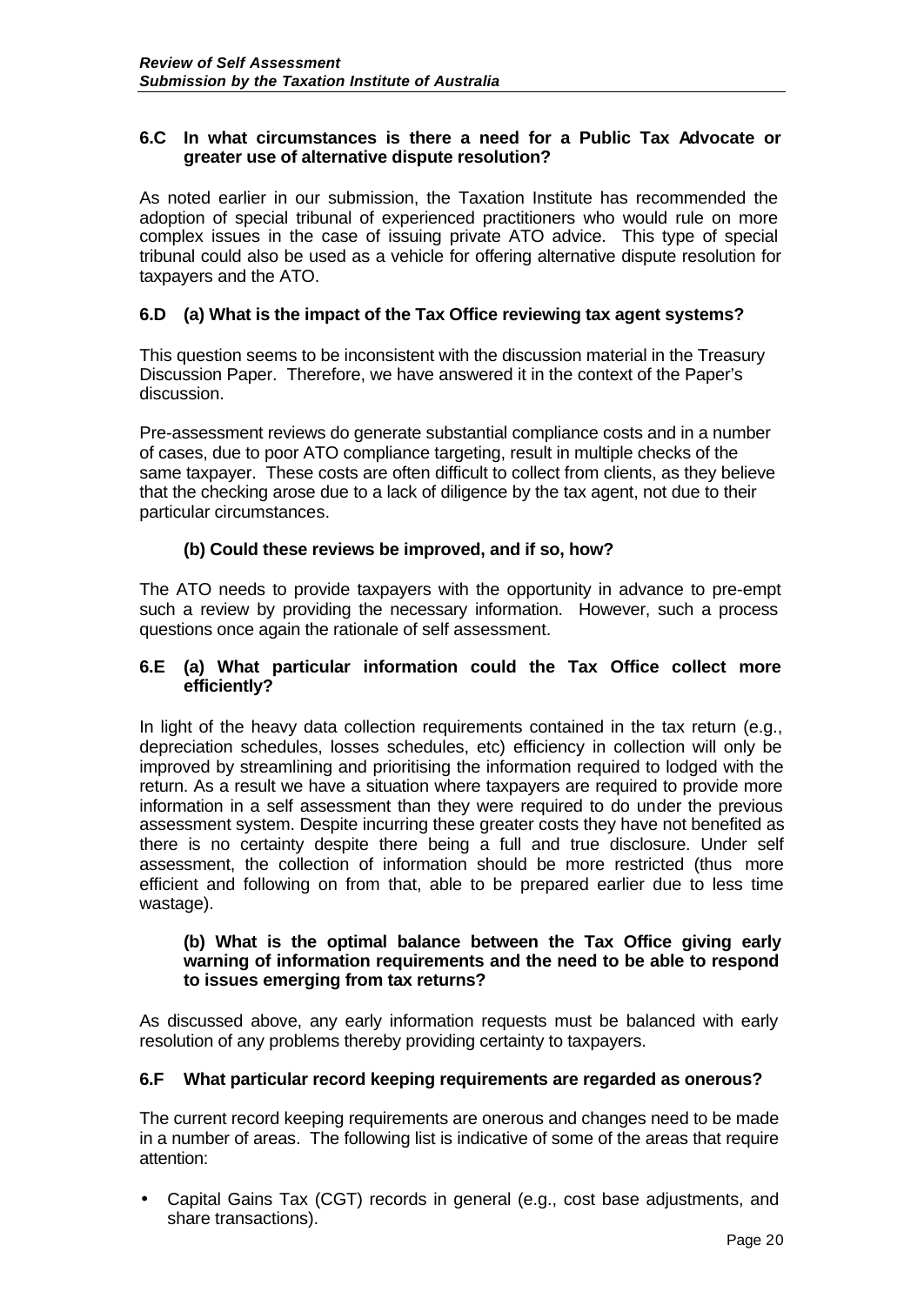## **6.C In what circumstances is there a need for a Public Tax Advocate or greater use of alternative dispute resolution?**

As noted earlier in our submission, the Taxation Institute has recommended the adoption of special tribunal of experienced practitioners who would rule on more complex issues in the case of issuing private ATO advice. This type of special tribunal could also be used as a vehicle for offering alternative dispute resolution for taxpayers and the ATO.

# **6.D (a) What is the impact of the Tax Office reviewing tax agent systems?**

This question seems to be inconsistent with the discussion material in the Treasury Discussion Paper. Therefore, we have answered it in the context of the Paper's discussion.

Pre-assessment reviews do generate substantial compliance costs and in a number of cases, due to poor ATO compliance targeting, result in multiple checks of the same taxpayer. These costs are often difficult to collect from clients, as they believe that the checking arose due to a lack of diligence by the tax agent, not due to their particular circumstances.

## **(b) Could these reviews be improved, and if so, how?**

The ATO needs to provide taxpayers with the opportunity in advance to pre-empt such a review by providing the necessary information. However, such a process questions once again the rationale of self assessment.

#### **6.E (a) What particular information could the Tax Office collect more efficiently?**

In light of the heavy data collection requirements contained in the tax return (e.g., depreciation schedules, losses schedules, etc) efficiency in collection will only be improved by streamlining and prioritising the information required to lodged with the return. As a result we have a situation where taxpayers are required to provide more information in a self assessment than they were required to do under the previous assessment system. Despite incurring these greater costs they have not benefited as there is no certainty despite there being a full and true disclosure. Under self assessment, the collection of information should be more restricted (thus more efficient and following on from that, able to be prepared earlier due to less time wastage).

#### **(b) What is the optimal balance between the Tax Office giving early warning of information requirements and the need to be able to respond to issues emerging from tax returns?**

As discussed above, any early information requests must be balanced with early resolution of any problems thereby providing certainty to taxpayers.

## **6.F What particular record keeping requirements are regarded as onerous?**

The current record keeping requirements are onerous and changes need to be made in a number of areas. The following list is indicative of some of the areas that require attention:

• Capital Gains Tax (CGT) records in general (e.g., cost base adjustments, and share transactions).